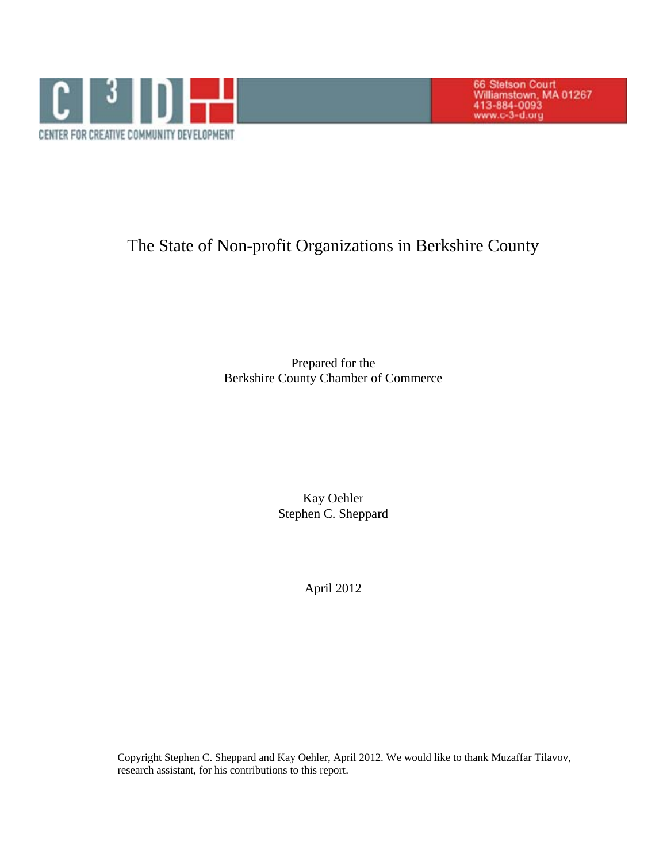

66 Stetson Court<br>Williamstown, MA 01267<br>413-884-0093<br>www.c-3-d.org

# The State of Non-profit Organizations in Berkshire County

Prepared for the Berkshire County Chamber of Commerce

> Kay Oehler Stephen C. Sheppard

> > April 2012

Copyright Stephen C. Sheppard and Kay Oehler, April 2012. We would like to thank Muzaffar Tilavov, research assistant, for his contributions to this report.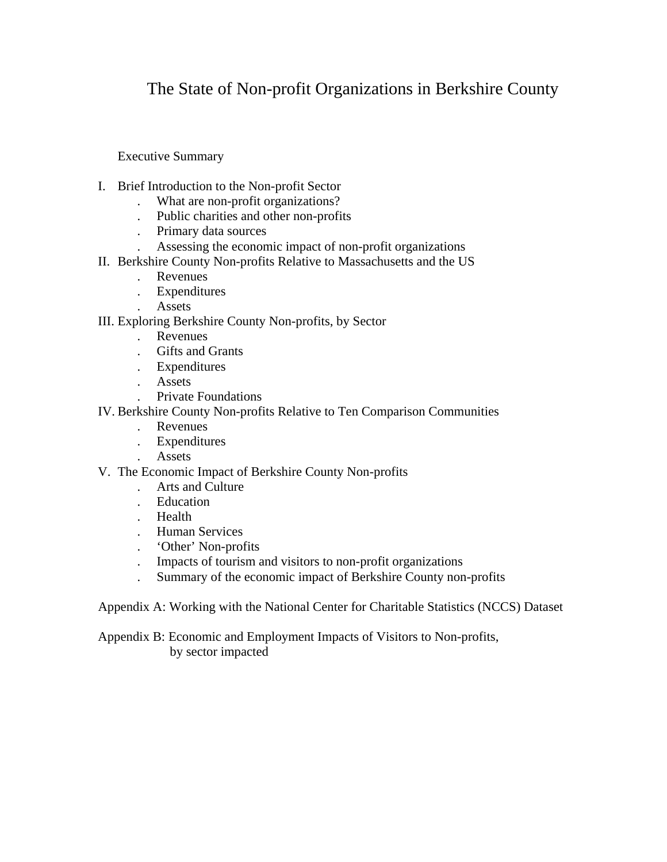# The State of Non-profit Organizations in Berkshire County

Executive Summary

- I. Brief Introduction to the Non-profit Sector
	- . What are non-profit organizations?
	- . Public charities and other non-profits
	- . Primary data sources
	- . Assessing the economic impact of non-profit organizations
- II. Berkshire County Non-profits Relative to Massachusetts and the US
	- . Revenues
	- . Expenditures
	- . Assets

III. Exploring Berkshire County Non-profits, by Sector

- . Revenues
- . Gifts and Grants
- . Expenditures
- . Assets
- . Private Foundations
- IV. Berkshire County Non-profits Relative to Ten Comparison Communities
	- . Revenues
	- . Expenditures
	- . Assets
- V. The Economic Impact of Berkshire County Non-profits
	- . Arts and Culture
	- . Education
	- . Health
	- . Human Services
	- . 'Other' Non-profits
	- . Impacts of tourism and visitors to non-profit organizations
	- . Summary of the economic impact of Berkshire County non-profits

Appendix A: Working with the National Center for Charitable Statistics (NCCS) Dataset

 Appendix B: Economic and Employment Impacts of Visitors to Non-profits, by sector impacted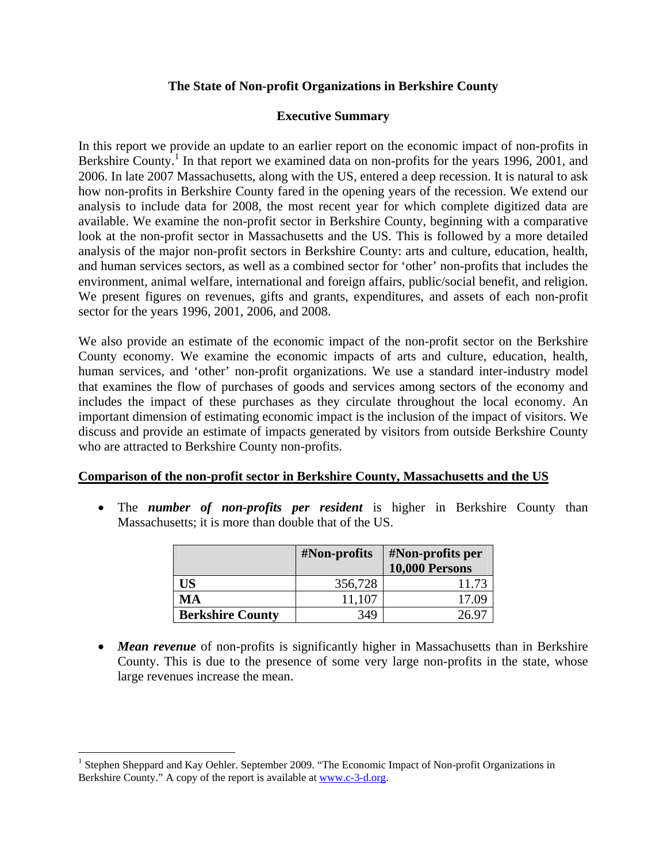## **The State of Non-profit Organizations in Berkshire County**

## **Executive Summary**

In this report we provide an update to an earlier report on the economic impact of non-profits in Berkshire County.<sup>1</sup> In that report we examined data on non-profits for the years 1996, 2001, and 2006. In late 2007 Massachusetts, along with the US, entered a deep recession. It is natural to ask how non-profits in Berkshire County fared in the opening years of the recession. We extend our analysis to include data for 2008, the most recent year for which complete digitized data are available. We examine the non-profit sector in Berkshire County, beginning with a comparative look at the non-profit sector in Massachusetts and the US. This is followed by a more detailed analysis of the major non-profit sectors in Berkshire County: arts and culture, education, health, and human services sectors, as well as a combined sector for 'other' non-profits that includes the environment, animal welfare, international and foreign affairs, public/social benefit, and religion. We present figures on revenues, gifts and grants, expenditures, and assets of each non-profit sector for the years 1996, 2001, 2006, and 2008.

We also provide an estimate of the economic impact of the non-profit sector on the Berkshire County economy. We examine the economic impacts of arts and culture, education, health, human services, and 'other' non-profit organizations. We use a standard inter-industry model that examines the flow of purchases of goods and services among sectors of the economy and includes the impact of these purchases as they circulate throughout the local economy. An important dimension of estimating economic impact is the inclusion of the impact of visitors. We discuss and provide an estimate of impacts generated by visitors from outside Berkshire County who are attracted to Berkshire County non-profits.

#### **Comparison of the non-profit sector in Berkshire County, Massachusetts and the US**

 The *number of non-profits per resident* is higher in Berkshire County than Massachusetts; it is more than double that of the US.

|                         | #Non-profits | #Non-profits per<br>10,000 Persons |
|-------------------------|--------------|------------------------------------|
| US                      | 356,728      | 11.73                              |
| MA                      | 11,107       | 17.09                              |
| <b>Berkshire County</b> | 349          | 26.9                               |

• **Mean revenue** of non-profits is significantly higher in Massachusetts than in Berkshire County. This is due to the presence of some very large non-profits in the state, whose large revenues increase the mean.

 $\overline{a}$ 

<sup>&</sup>lt;sup>1</sup> Stephen Sheppard and Kay Oehler. September 2009. "The Economic Impact of Non-profit Organizations in Berkshire County." A copy of the report is available at www.c-3-d.org.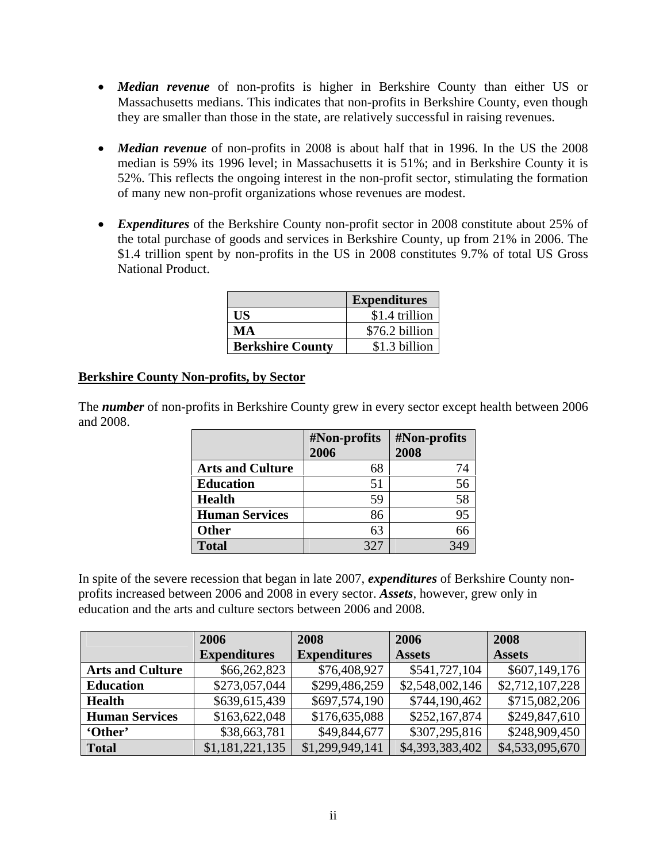- *Median revenue* of non-profits is higher in Berkshire County than either US or Massachusetts medians. This indicates that non-profits in Berkshire County, even though they are smaller than those in the state, are relatively successful in raising revenues.
- *Median revenue* of non-profits in 2008 is about half that in 1996. In the US the 2008 median is 59% its 1996 level; in Massachusetts it is 51%; and in Berkshire County it is 52%. This reflects the ongoing interest in the non-profit sector, stimulating the formation of many new non-profit organizations whose revenues are modest.
- *Expenditures* of the Berkshire County non-profit sector in 2008 constitute about 25% of the total purchase of goods and services in Berkshire County, up from 21% in 2006. The \$1.4 trillion spent by non-profits in the US in 2008 constitutes 9.7% of total US Gross National Product.

|                         | <b>Expenditures</b> |
|-------------------------|---------------------|
| НS                      | \$1.4 trillion      |
| MА                      | \$76.2 billion      |
| <b>Berkshire County</b> | \$1.3 billion       |

# **Berkshire County Non-profits, by Sector**

The *number* of non-profits in Berkshire County grew in every sector except health between 2006 and 2008.

|                         | #Non-profits | #Non-profits |
|-------------------------|--------------|--------------|
|                         | 2006         | 2008         |
| <b>Arts and Culture</b> | 68           | 74           |
| <b>Education</b>        | 51           | 56           |
| Health                  | 59           | 58           |
| <b>Human Services</b>   | 86           | 95           |
| <b>Other</b>            | 63           |              |
| <b>Total</b>            | 327          |              |

In spite of the severe recession that began in late 2007, *expenditures* of Berkshire County nonprofits increased between 2006 and 2008 in every sector. *Assets*, however, grew only in education and the arts and culture sectors between 2006 and 2008.

|                         | 2006                | 2008                | 2006            | 2008            |
|-------------------------|---------------------|---------------------|-----------------|-----------------|
|                         | <b>Expenditures</b> | <b>Expenditures</b> | <b>Assets</b>   | <b>Assets</b>   |
| <b>Arts and Culture</b> | \$66,262,823        | \$76,408,927        | \$541,727,104   | \$607,149,176   |
| <b>Education</b>        | \$273,057,044       | \$299,486,259       | \$2,548,002,146 | \$2,712,107,228 |
| <b>Health</b>           | \$639,615,439       | \$697,574,190       | \$744,190,462   | \$715,082,206   |
| <b>Human Services</b>   | \$163,622,048       | \$176,635,088       | \$252,167,874   | \$249,847,610   |
| 'Other'                 | \$38,663,781        | \$49,844,677        | \$307,295,816   | \$248,909,450   |
| <b>Total</b>            | \$1,181,221,135     | \$1,299,949,141     | \$4,393,383,402 | \$4,533,095,670 |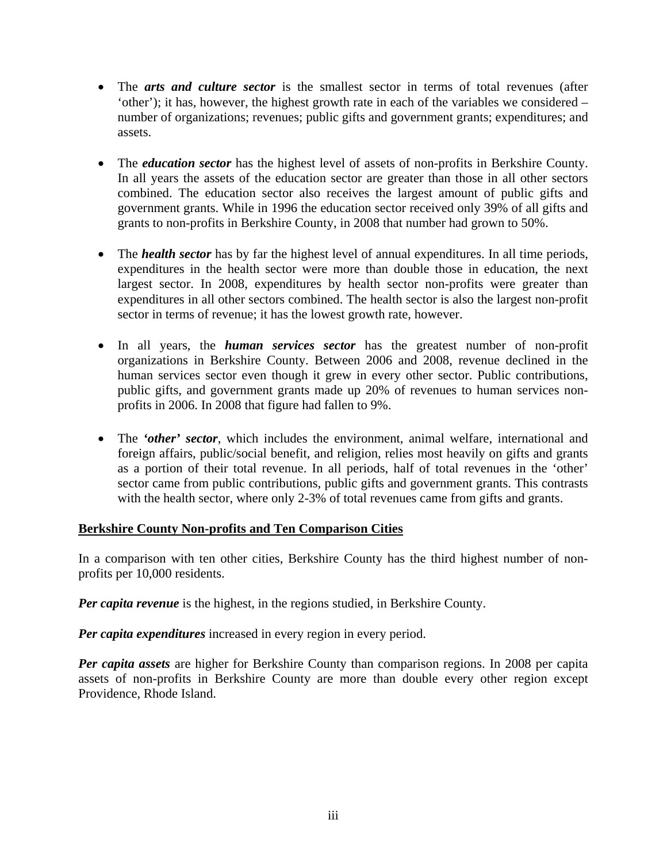- The *arts and culture sector* is the smallest sector in terms of total revenues (after 'other'); it has, however, the highest growth rate in each of the variables we considered – number of organizations; revenues; public gifts and government grants; expenditures; and assets.
- The *education sector* has the highest level of assets of non-profits in Berkshire County. In all years the assets of the education sector are greater than those in all other sectors combined. The education sector also receives the largest amount of public gifts and government grants. While in 1996 the education sector received only 39% of all gifts and grants to non-profits in Berkshire County, in 2008 that number had grown to 50%.
- The *health sector* has by far the highest level of annual expenditures. In all time periods, expenditures in the health sector were more than double those in education, the next largest sector. In 2008, expenditures by health sector non-profits were greater than expenditures in all other sectors combined. The health sector is also the largest non-profit sector in terms of revenue; it has the lowest growth rate, however.
- In all years, the *human services sector* has the greatest number of non-profit organizations in Berkshire County. Between 2006 and 2008, revenue declined in the human services sector even though it grew in every other sector. Public contributions, public gifts, and government grants made up 20% of revenues to human services nonprofits in 2006. In 2008 that figure had fallen to 9%.
- The *'other' sector*, which includes the environment, animal welfare, international and foreign affairs, public/social benefit, and religion, relies most heavily on gifts and grants as a portion of their total revenue. In all periods, half of total revenues in the 'other' sector came from public contributions, public gifts and government grants. This contrasts with the health sector, where only 2-3% of total revenues came from gifts and grants.

# **Berkshire County Non-profits and Ten Comparison Cities**

In a comparison with ten other cities, Berkshire County has the third highest number of nonprofits per 10,000 residents.

*Per capita revenue* is the highest, in the regions studied, in Berkshire County.

*Per capita expenditures* increased in every region in every period.

*Per capita assets* are higher for Berkshire County than comparison regions. In 2008 per capita assets of non-profits in Berkshire County are more than double every other region except Providence, Rhode Island.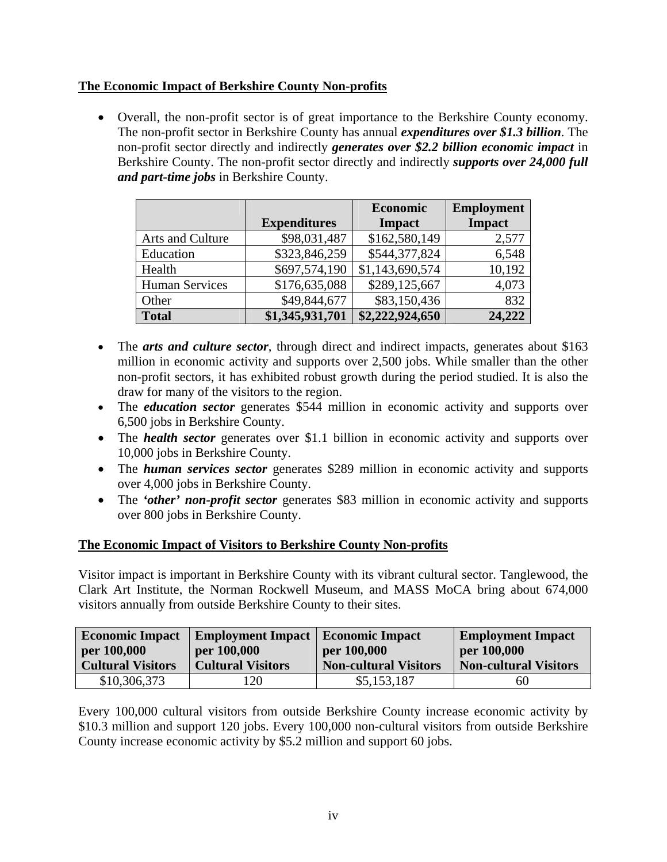# **The Economic Impact of Berkshire County Non-profits**

 Overall, the non-profit sector is of great importance to the Berkshire County economy. The non-profit sector in Berkshire County has annual *expenditures over \$1.3 billion*. The non-profit sector directly and indirectly *generates over \$2.2 billion economic impact* in Berkshire County. The non-profit sector directly and indirectly *supports over 24,000 full and part-time jobs* in Berkshire County.

|                       |                     | Economic        | <b>Employment</b> |
|-----------------------|---------------------|-----------------|-------------------|
|                       | <b>Expenditures</b> | <b>Impact</b>   | <b>Impact</b>     |
| Arts and Culture      | \$98,031,487        | \$162,580,149   | 2,577             |
| Education             | \$323,846,259       | \$544,377,824   | 6,548             |
| Health                | \$697,574,190       | \$1,143,690,574 | 10,192            |
| <b>Human Services</b> | \$176,635,088       | \$289,125,667   | 4,073             |
| Other                 | \$49,844,677        | \$83,150,436    | 832               |
| <b>Total</b>          | \$1,345,931,701     | \$2,222,924,650 | 24,222            |

- The *arts and culture sector*, through direct and indirect impacts, generates about \$163 million in economic activity and supports over 2,500 jobs. While smaller than the other non-profit sectors, it has exhibited robust growth during the period studied. It is also the draw for many of the visitors to the region.
- The *education sector* generates \$544 million in economic activity and supports over 6,500 jobs in Berkshire County.
- The *health sector* generates over \$1.1 billion in economic activity and supports over 10,000 jobs in Berkshire County.
- The *human services sector* generates \$289 million in economic activity and supports over 4,000 jobs in Berkshire County.
- The *'other' non-profit sector* generates \$83 million in economic activity and supports over 800 jobs in Berkshire County.

# **The Economic Impact of Visitors to Berkshire County Non-profits**

Visitor impact is important in Berkshire County with its vibrant cultural sector. Tanglewood, the Clark Art Institute, the Norman Rockwell Museum, and MASS MoCA bring about 674,000 visitors annually from outside Berkshire County to their sites.

| <b>Economic Impact</b><br>per 100,000 | <b>Employment Impact</b>   Economic Impact<br>per 100,000 | per 100,000                  | <b>Employment Impact</b><br>per 100,000 |  |
|---------------------------------------|-----------------------------------------------------------|------------------------------|-----------------------------------------|--|
| <b>Cultural Visitors</b>              | <b>Cultural Visitors</b>                                  | <b>Non-cultural Visitors</b> | <b>Non-cultural Visitors</b>            |  |
| \$10,306,373                          | ' 20                                                      | \$5,153,187                  | 60                                      |  |

Every 100,000 cultural visitors from outside Berkshire County increase economic activity by \$10.3 million and support 120 jobs. Every 100,000 non-cultural visitors from outside Berkshire County increase economic activity by \$5.2 million and support 60 jobs.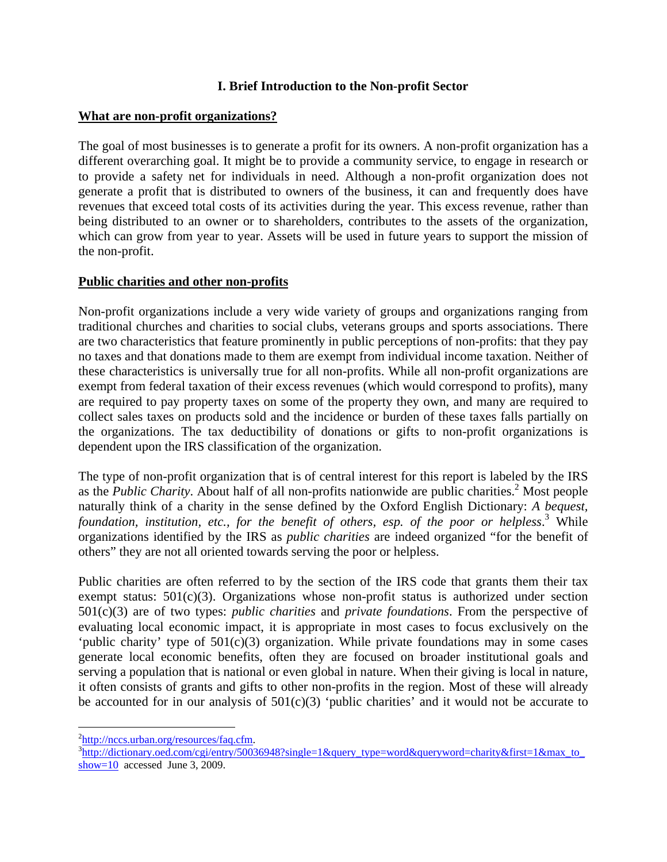## **I. Brief Introduction to the Non-profit Sector**

#### **What are non-profit organizations?**

The goal of most businesses is to generate a profit for its owners. A non-profit organization has a different overarching goal. It might be to provide a community service, to engage in research or to provide a safety net for individuals in need. Although a non-profit organization does not generate a profit that is distributed to owners of the business, it can and frequently does have revenues that exceed total costs of its activities during the year. This excess revenue, rather than being distributed to an owner or to shareholders, contributes to the assets of the organization, which can grow from year to year. Assets will be used in future years to support the mission of the non-profit.

## **Public charities and other non-profits**

Non-profit organizations include a very wide variety of groups and organizations ranging from traditional churches and charities to social clubs, veterans groups and sports associations. There are two characteristics that feature prominently in public perceptions of non-profits: that they pay no taxes and that donations made to them are exempt from individual income taxation. Neither of these characteristics is universally true for all non-profits. While all non-profit organizations are exempt from federal taxation of their excess revenues (which would correspond to profits), many are required to pay property taxes on some of the property they own, and many are required to collect sales taxes on products sold and the incidence or burden of these taxes falls partially on the organizations. The tax deductibility of donations or gifts to non-profit organizations is dependent upon the IRS classification of the organization.

The type of non-profit organization that is of central interest for this report is labeled by the IRS as the *Public Charity*. About half of all non-profits nationwide are public charities.<sup>2</sup> Most people naturally think of a charity in the sense defined by the Oxford English Dictionary: *A bequest,*  foundation, institution, etc., for the benefit of others, esp. of the poor or helpless.<sup>3</sup> While organizations identified by the IRS as *public charities* are indeed organized "for the benefit of others" they are not all oriented towards serving the poor or helpless.

Public charities are often referred to by the section of the IRS code that grants them their tax exempt status:  $501(c)(3)$ . Organizations whose non-profit status is authorized under section 501(c)(3) are of two types: *public charities* and *private foundations*. From the perspective of evaluating local economic impact, it is appropriate in most cases to focus exclusively on the 'public charity' type of 501(c)(3) organization. While private foundations may in some cases generate local economic benefits, often they are focused on broader institutional goals and serving a population that is national or even global in nature. When their giving is local in nature, it often consists of grants and gifts to other non-profits in the region. Most of these will already be accounted for in our analysis of  $501(c)(3)$  'public charities' and it would not be accurate to

 $\overline{a}$ 

 $\frac{2 \text{http://nccs.urban.org/resources/faq.cfm}}{3 \text{http://diction.org/resources/an.fr/5002}}$ 

 $h_{\text{http://dictionary.oed.com/cei/entry/50036948?}\sin \text{gle}=1\&\text{query\_type}=word\&\text{queryword=charitv}\&\text{first}=1\&\text{max\_to}$ show=10 accessed June 3, 2009.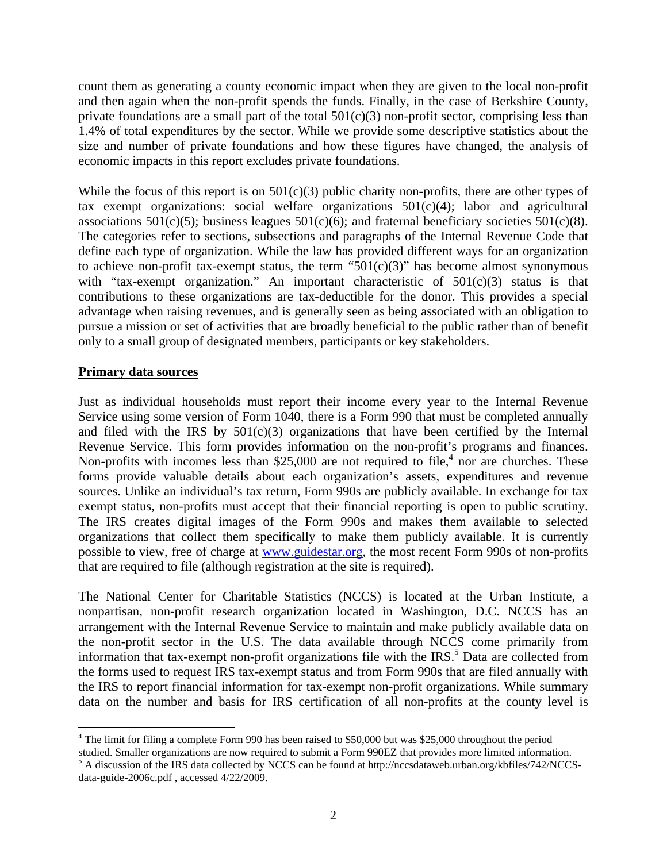count them as generating a county economic impact when they are given to the local non-profit and then again when the non-profit spends the funds. Finally, in the case of Berkshire County, private foundations are a small part of the total  $501(c)(3)$  non-profit sector, comprising less than 1.4% of total expenditures by the sector. While we provide some descriptive statistics about the size and number of private foundations and how these figures have changed, the analysis of economic impacts in this report excludes private foundations.

While the focus of this report is on  $501(c)(3)$  public charity non-profits, there are other types of tax exempt organizations: social welfare organizations  $501(c)(4)$ ; labor and agricultural associations 501(c)(5); business leagues 501(c)(6); and fraternal beneficiary societies 501(c)(8). The categories refer to sections, subsections and paragraphs of the Internal Revenue Code that define each type of organization. While the law has provided different ways for an organization to achieve non-profit tax-exempt status, the term " $501(c)(3)$ " has become almost synonymous with "tax-exempt organization." An important characteristic of 501(c)(3) status is that contributions to these organizations are tax-deductible for the donor. This provides a special advantage when raising revenues, and is generally seen as being associated with an obligation to pursue a mission or set of activities that are broadly beneficial to the public rather than of benefit only to a small group of designated members, participants or key stakeholders.

#### **Primary data sources**

 $\overline{a}$ 

Just as individual households must report their income every year to the Internal Revenue Service using some version of Form 1040, there is a Form 990 that must be completed annually and filed with the IRS by  $501(c)(3)$  organizations that have been certified by the Internal Revenue Service. This form provides information on the non-profit's programs and finances. Non-profits with incomes less than \$25,000 are not required to file,<sup>4</sup> nor are churches. These forms provide valuable details about each organization's assets, expenditures and revenue sources. Unlike an individual's tax return, Form 990s are publicly available. In exchange for tax exempt status, non-profits must accept that their financial reporting is open to public scrutiny. The IRS creates digital images of the Form 990s and makes them available to selected organizations that collect them specifically to make them publicly available. It is currently possible to view, free of charge at www.guidestar.org, the most recent Form 990s of non-profits that are required to file (although registration at the site is required).

The National Center for Charitable Statistics (NCCS) is located at the Urban Institute, a nonpartisan, non-profit research organization located in Washington, D.C. NCCS has an arrangement with the Internal Revenue Service to maintain and make publicly available data on the non-profit sector in the U.S. The data available through NCCS come primarily from information that tax-exempt non-profit organizations file with the IRS.<sup>5</sup> Data are collected from the forms used to request IRS tax-exempt status and from Form 990s that are filed annually with the IRS to report financial information for tax-exempt non-profit organizations. While summary data on the number and basis for IRS certification of all non-profits at the county level is

<sup>&</sup>lt;sup>4</sup> The limit for filing a complete Form 990 has been raised to \$50,000 but was \$25,000 throughout the period

studied. Smaller organizations are now required to submit a Form 990EZ that provides more limited information.<br><sup>5</sup> A discussion of the IRS data collected by NCCS can be found at http://nccsdataweb.urban.org/kbfiles/742/NCC data-guide-2006c.pdf , accessed 4/22/2009.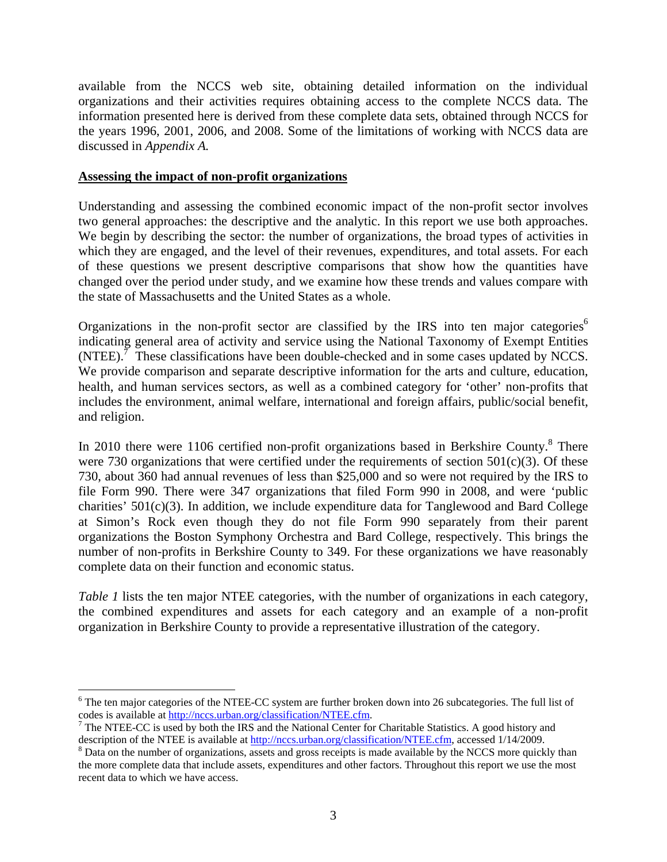available from the NCCS web site, obtaining detailed information on the individual organizations and their activities requires obtaining access to the complete NCCS data. The information presented here is derived from these complete data sets, obtained through NCCS for the years 1996, 2001, 2006, and 2008. Some of the limitations of working with NCCS data are discussed in *Appendix A.*

#### **Assessing the impact of non-profit organizations**

<u>.</u>

Understanding and assessing the combined economic impact of the non-profit sector involves two general approaches: the descriptive and the analytic. In this report we use both approaches. We begin by describing the sector: the number of organizations, the broad types of activities in which they are engaged, and the level of their revenues, expenditures, and total assets. For each of these questions we present descriptive comparisons that show how the quantities have changed over the period under study, and we examine how these trends and values compare with the state of Massachusetts and the United States as a whole.

Organizations in the non-profit sector are classified by the IRS into ten major categories<sup>6</sup> indicating general area of activity and service using the National Taxonomy of Exempt Entities  $(NTEE)$ .<sup>7</sup> These classifications have been double-checked and in some cases updated by NCCS. We provide comparison and separate descriptive information for the arts and culture, education, health, and human services sectors, as well as a combined category for 'other' non-profits that includes the environment, animal welfare, international and foreign affairs, public/social benefit, and religion.

In 2010 there were 1106 certified non-profit organizations based in Berkshire County. $8$  There were 730 organizations that were certified under the requirements of section  $501(c)(3)$ . Of these 730, about 360 had annual revenues of less than \$25,000 and so were not required by the IRS to file Form 990. There were 347 organizations that filed Form 990 in 2008, and were 'public charities' 501(c)(3). In addition, we include expenditure data for Tanglewood and Bard College at Simon's Rock even though they do not file Form 990 separately from their parent organizations the Boston Symphony Orchestra and Bard College, respectively. This brings the number of non-profits in Berkshire County to 349. For these organizations we have reasonably complete data on their function and economic status.

*Table 1* lists the ten major NTEE categories, with the number of organizations in each category, the combined expenditures and assets for each category and an example of a non-profit organization in Berkshire County to provide a representative illustration of the category.

 $6$  The ten major categories of the NTEE-CC system are further broken down into 26 subcategories. The full list of codes is available at http://nccs.urban.org/classification/NTEE.cfm. 7

 $<sup>7</sup>$  The NTEE-CC is used by both the IRS and the National Center for Charitable Statistics. A good history and</sup> description of the NTEE is available at http://nccs.urban.org/classification/NTEE.cfm, accessed 1/14/2009.

<sup>&</sup>lt;sup>8</sup> Data on the number of organizations, assets and gross receipts is made available by the NCCS more quickly than the more complete data that include assets, expenditures and other factors. Throughout this report we use the most recent data to which we have access.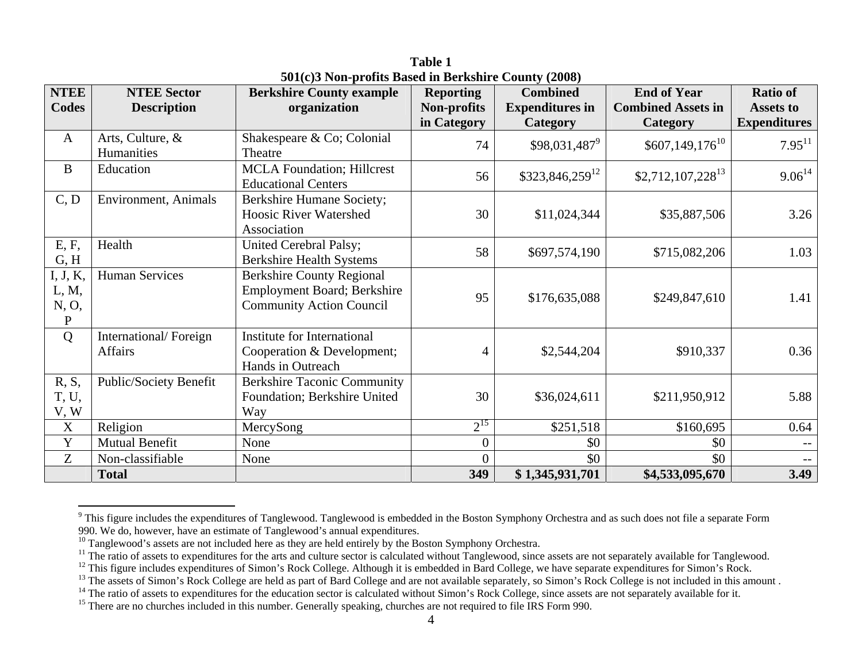| <b>NTEE</b>                             | <b>NTEE Sector</b>               | <b>Berkshire County example</b>                                                                    | <b>Reporting</b>   | <b>Combined</b>        | <b>End of Year</b>             | <b>Ratio of</b>     |
|-----------------------------------------|----------------------------------|----------------------------------------------------------------------------------------------------|--------------------|------------------------|--------------------------------|---------------------|
| <b>Codes</b>                            | <b>Description</b>               | organization                                                                                       | <b>Non-profits</b> | <b>Expenditures in</b> | <b>Combined Assets in</b>      | Assets to           |
|                                         |                                  |                                                                                                    | in Category        | Category               | <b>Category</b>                | <b>Expenditures</b> |
| $\mathbf{A}$                            | Arts, Culture, &<br>Humanities   | Shakespeare & Co; Colonial<br>Theatre                                                              | 74                 | $$98,031,487^9$        | $$607,149,176$ <sup>10</sup>   | $7.95^{11}$         |
| $\bf{B}$                                | Education                        | <b>MCLA Foundation</b> ; Hillcrest<br><b>Educational Centers</b>                                   | 56                 | $$323,846,259^{12}$    | $$2,712,107,228$ <sup>13</sup> | $9.06^{14}$         |
| C, D                                    | Environment, Animals             | Berkshire Humane Society;<br><b>Hoosic River Watershed</b><br>Association                          | 30                 | \$11,024,344           | \$35,887,506                   | 3.26                |
| E, F,<br>G, H                           | Health                           | United Cerebral Palsy;<br><b>Berkshire Health Systems</b>                                          | 58                 | \$697,574,190          | \$715,082,206                  | 1.03                |
| I, J, K,<br>L, M,<br>N, O,<br>${\bf P}$ | <b>Human Services</b>            | <b>Berkshire County Regional</b><br>Employment Board; Berkshire<br><b>Community Action Council</b> | 95                 | \$176,635,088          | \$249,847,610                  | 1.41                |
| Q                                       | International/Foreign<br>Affairs | <b>Institute for International</b><br>Cooperation & Development;<br>Hands in Outreach              | 4                  | \$2,544,204            | \$910,337                      | 0.36                |
| R, S,<br>T, U,<br>V, W                  | Public/Society Benefit           | <b>Berkshire Taconic Community</b><br>Foundation; Berkshire United<br>Way                          | 30                 | \$36,024,611           | \$211,950,912                  | 5.88                |
| $\boldsymbol{X}$                        | Religion                         | MercySong                                                                                          | $2^{15}$           | \$251,518              | \$160,695                      | 0.64                |
| $\mathbf Y$                             | <b>Mutual Benefit</b>            | None                                                                                               | $\boldsymbol{0}$   | \$0                    | \$0                            |                     |
| Z                                       | Non-classifiable                 | None                                                                                               | $\overline{0}$     | \$0                    | \$0                            |                     |
|                                         | <b>Total</b>                     |                                                                                                    | 349                | \$1,345,931,701        | \$4,533,095,670                | 3.49                |

**Table 1 501(c)3 Non-profits Based in Berkshire County (2008)** 

<sup>&</sup>lt;sup>9</sup> This figure includes the expenditures of Tanglewood. Tanglewood is embedded in the Boston Symphony Orchestra and as such does not file a separate Form 990. We do, however, have an estimate of Tanglewood's annual expenditures.

<sup>&</sup>lt;sup>10</sup> Tanglewood's assets are not included here as they are held entirely by the Boston Symphony Orchestra.

<sup>&</sup>lt;sup>11</sup> The ratio of assets to expenditures for the arts and culture sector is calculated without Tanglewood, since assets are not separately available for Tanglewood.

<sup>&</sup>lt;sup>12</sup> This figure includes expenditures of Simon's Rock College. Although it is embedded in Bard College, we have separate expenditures for Simon's Rock.

<sup>&</sup>lt;sup>13</sup> The assets of Simon's Rock College are held as part of Bard College and are not available separately, so Simon's Rock College is not included in this amount .

<sup>&</sup>lt;sup>14</sup> The ratio of assets to expenditures for the education sector is calculated without Simon's Rock College, since assets are not separately available for it.

<sup>&</sup>lt;sup>15</sup> There are no churches included in this number. Generally speaking, churches are not required to file IRS Form 990.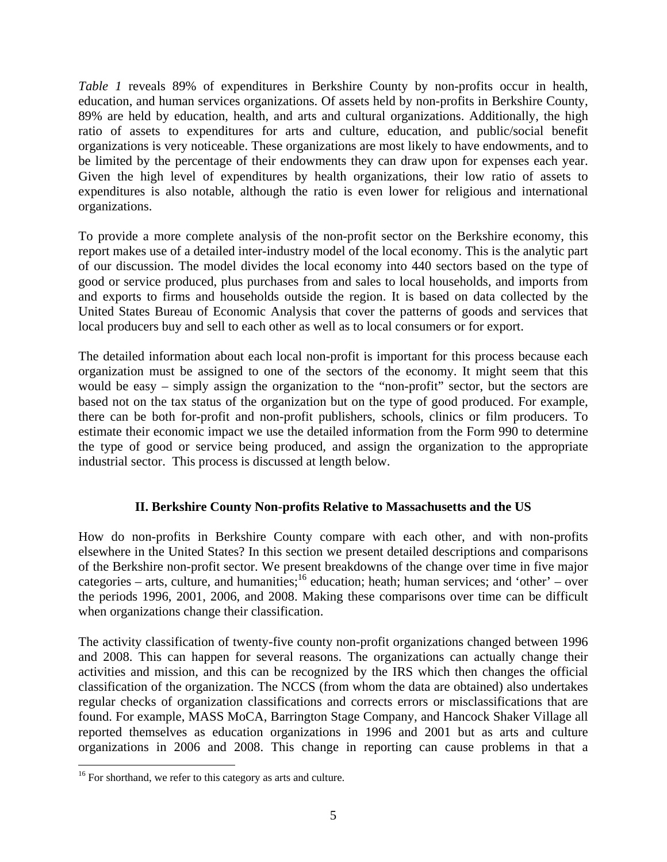*Table 1* reveals 89% of expenditures in Berkshire County by non-profits occur in health, education, and human services organizations. Of assets held by non-profits in Berkshire County, 89% are held by education, health, and arts and cultural organizations. Additionally, the high ratio of assets to expenditures for arts and culture, education, and public/social benefit organizations is very noticeable. These organizations are most likely to have endowments, and to be limited by the percentage of their endowments they can draw upon for expenses each year. Given the high level of expenditures by health organizations, their low ratio of assets to expenditures is also notable, although the ratio is even lower for religious and international organizations.

To provide a more complete analysis of the non-profit sector on the Berkshire economy, this report makes use of a detailed inter-industry model of the local economy. This is the analytic part of our discussion. The model divides the local economy into 440 sectors based on the type of good or service produced, plus purchases from and sales to local households, and imports from and exports to firms and households outside the region. It is based on data collected by the United States Bureau of Economic Analysis that cover the patterns of goods and services that local producers buy and sell to each other as well as to local consumers or for export.

The detailed information about each local non-profit is important for this process because each organization must be assigned to one of the sectors of the economy. It might seem that this would be easy – simply assign the organization to the "non-profit" sector, but the sectors are based not on the tax status of the organization but on the type of good produced. For example, there can be both for-profit and non-profit publishers, schools, clinics or film producers. To estimate their economic impact we use the detailed information from the Form 990 to determine the type of good or service being produced, and assign the organization to the appropriate industrial sector. This process is discussed at length below.

# **II. Berkshire County Non-profits Relative to Massachusetts and the US**

How do non-profits in Berkshire County compare with each other, and with non-profits elsewhere in the United States? In this section we present detailed descriptions and comparisons of the Berkshire non-profit sector. We present breakdowns of the change over time in five major categories – arts, culture, and humanities;  $\frac{1}{6}$  education; heath; human services; and 'other' – over the periods 1996, 2001, 2006, and 2008. Making these comparisons over time can be difficult when organizations change their classification.

The activity classification of twenty-five county non-profit organizations changed between 1996 and 2008. This can happen for several reasons. The organizations can actually change their activities and mission, and this can be recognized by the IRS which then changes the official classification of the organization. The NCCS (from whom the data are obtained) also undertakes regular checks of organization classifications and corrects errors or misclassifications that are found. For example, MASS MoCA, Barrington Stage Company, and Hancock Shaker Village all reported themselves as education organizations in 1996 and 2001 but as arts and culture organizations in 2006 and 2008. This change in reporting can cause problems in that a

 $\overline{a}$ 

<sup>&</sup>lt;sup>16</sup> For shorthand, we refer to this category as arts and culture.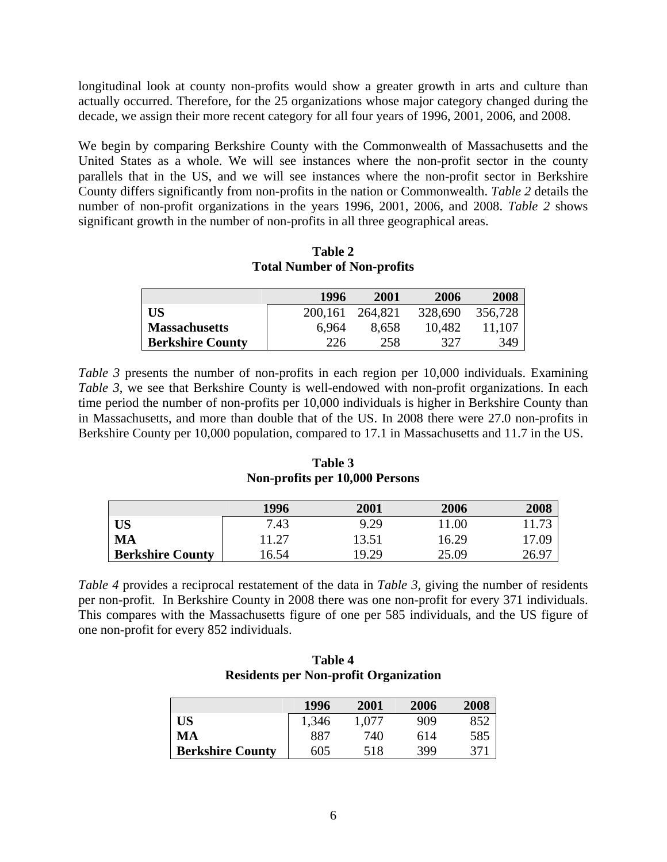longitudinal look at county non-profits would show a greater growth in arts and culture than actually occurred. Therefore, for the 25 organizations whose major category changed during the decade, we assign their more recent category for all four years of 1996, 2001, 2006, and 2008.

We begin by comparing Berkshire County with the Commonwealth of Massachusetts and the United States as a whole. We will see instances where the non-profit sector in the county parallels that in the US, and we will see instances where the non-profit sector in Berkshire County differs significantly from non-profits in the nation or Commonwealth. *Table 2* details the number of non-profit organizations in the years 1996, 2001, 2006, and 2008. *Table 2* shows significant growth in the number of non-profits in all three geographical areas.

|                         | 1996    | 2001    | 2006    | 2008    |
|-------------------------|---------|---------|---------|---------|
| <b>US</b>               | 200,161 | 264,821 | 328,690 | 356,728 |
| Massachusetts           | 6.964   | 8,658   | 10.482  | 11.107  |
| <b>Berkshire County</b> | 226     | 258     | 327     | 349     |

**Table 2 Total Number of Non-profits** 

*Table 3* presents the number of non-profits in each region per 10,000 individuals. Examining *Table 3*, we see that Berkshire County is well-endowed with non-profit organizations. In each time period the number of non-profits per 10,000 individuals is higher in Berkshire County than in Massachusetts, and more than double that of the US. In 2008 there were 27.0 non-profits in Berkshire County per 10,000 population, compared to 17.1 in Massachusetts and 11.7 in the US.

|                         | 1996  | 2001  | 2006  | 2008  |
|-------------------------|-------|-------|-------|-------|
| <b>US</b>               | 7.43  | 9.29  | 11.00 |       |
| <b>MA</b>               | 11.27 | 13.51 | 16.29 | 17.09 |
| <b>Berkshire County</b> | 16.54 | 19.29 | 25.09 | 26.97 |

**Table 3 Non-profits per 10,000 Persons**

*Table 4* provides a reciprocal restatement of the data in *Table 3*, giving the number of residents per non-profit. In Berkshire County in 2008 there was one non-profit for every 371 individuals. This compares with the Massachusetts figure of one per 585 individuals, and the US figure of one non-profit for every 852 individuals.

| <b>Table 4</b>                               |
|----------------------------------------------|
| <b>Residents per Non-profit Organization</b> |

|                         | 1996  | 2001  | 2006 | 2008 |
|-------------------------|-------|-------|------|------|
| US                      | 1,346 | 1.077 | 909  | 852  |
| MA                      | 887   | 740   | 614  | 585  |
| <b>Berkshire County</b> | 605   | 518   | 399  | 371  |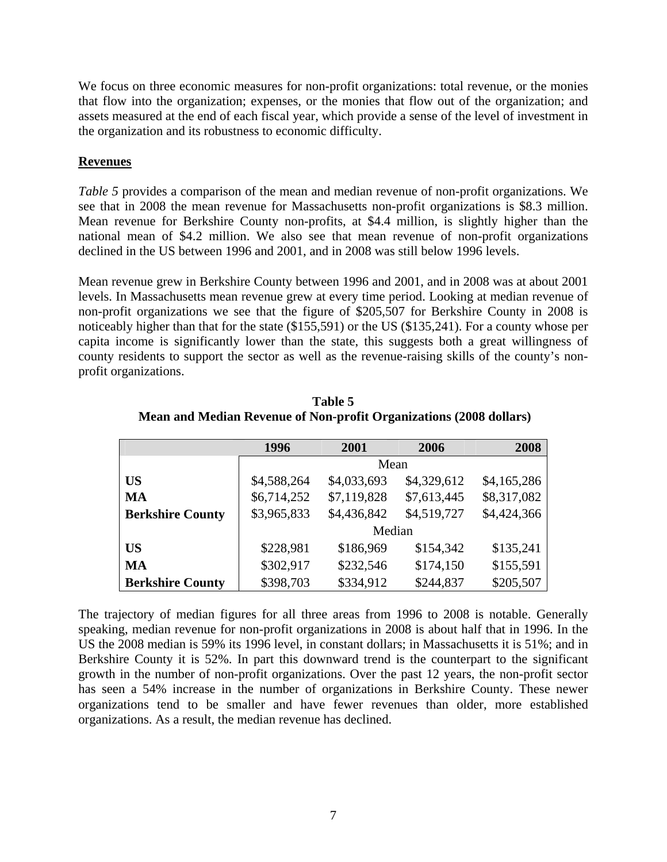We focus on three economic measures for non-profit organizations: total revenue, or the monies that flow into the organization; expenses, or the monies that flow out of the organization; and assets measured at the end of each fiscal year, which provide a sense of the level of investment in the organization and its robustness to economic difficulty.

# **Revenues**

*Table 5* provides a comparison of the mean and median revenue of non-profit organizations. We see that in 2008 the mean revenue for Massachusetts non-profit organizations is \$8.3 million. Mean revenue for Berkshire County non-profits, at \$4.4 million, is slightly higher than the national mean of \$4.2 million. We also see that mean revenue of non-profit organizations declined in the US between 1996 and 2001, and in 2008 was still below 1996 levels.

Mean revenue grew in Berkshire County between 1996 and 2001, and in 2008 was at about 2001 levels. In Massachusetts mean revenue grew at every time period. Looking at median revenue of non-profit organizations we see that the figure of \$205,507 for Berkshire County in 2008 is noticeably higher than that for the state (\$155,591) or the US (\$135,241). For a county whose per capita income is significantly lower than the state, this suggests both a great willingness of county residents to support the sector as well as the revenue-raising skills of the county's nonprofit organizations.

|                         | 1996        | 2001        | 2006        | 2008        |  |
|-------------------------|-------------|-------------|-------------|-------------|--|
|                         | Mean        |             |             |             |  |
| <b>US</b>               | \$4,588,264 | \$4,033,693 | \$4,329,612 | \$4,165,286 |  |
| <b>MA</b>               | \$6,714,252 | \$7,119,828 | \$7,613,445 | \$8,317,082 |  |
| <b>Berkshire County</b> | \$3,965,833 | \$4,436,842 | \$4,519,727 | \$4,424,366 |  |
|                         | Median      |             |             |             |  |
| <b>US</b>               | \$228,981   | \$186,969   | \$154,342   | \$135,241   |  |
| <b>MA</b>               | \$302,917   | \$232,546   | \$174,150   | \$155,591   |  |
| <b>Berkshire County</b> | \$398,703   | \$334,912   | \$244,837   | \$205,507   |  |

**Table 5 Mean and Median Revenue of Non-profit Organizations (2008 dollars)**

The trajectory of median figures for all three areas from 1996 to 2008 is notable. Generally speaking, median revenue for non-profit organizations in 2008 is about half that in 1996. In the US the 2008 median is 59% its 1996 level, in constant dollars; in Massachusetts it is 51%; and in Berkshire County it is 52%. In part this downward trend is the counterpart to the significant growth in the number of non-profit organizations. Over the past 12 years, the non-profit sector has seen a 54% increase in the number of organizations in Berkshire County. These newer organizations tend to be smaller and have fewer revenues than older, more established organizations. As a result, the median revenue has declined.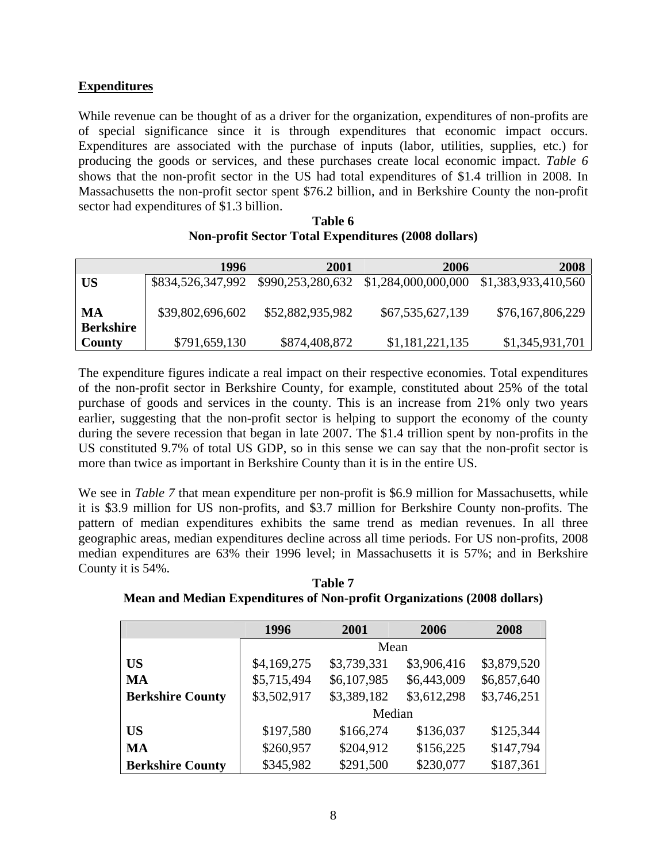# **Expenditures**

While revenue can be thought of as a driver for the organization, expenditures of non-profits are of special significance since it is through expenditures that economic impact occurs. Expenditures are associated with the purchase of inputs (labor, utilities, supplies, etc.) for producing the goods or services, and these purchases create local economic impact. *Table 6* shows that the non-profit sector in the US had total expenditures of \$1.4 trillion in 2008. In Massachusetts the non-profit sector spent \$76.2 billion, and in Berkshire County the non-profit sector had expenditures of \$1.3 billion.

| Table 6                                                    |
|------------------------------------------------------------|
| <b>Non-profit Sector Total Expenditures (2008 dollars)</b> |

|                        | 1996              | 2001             | 2006                                                      | 2008             |
|------------------------|-------------------|------------------|-----------------------------------------------------------|------------------|
| US                     | \$834,526,347,992 |                  | \$990,253,280,632 \$1,284,000,000,000 \$1,383,933,410,560 |                  |
| МA<br><b>Berkshire</b> | \$39,802,696,602  | \$52,882,935,982 | \$67,535,627,139                                          | \$76,167,806,229 |
| <b>County</b>          | \$791,659,130     | \$874,408,872    | \$1,181,221,135                                           | \$1,345,931,701  |

The expenditure figures indicate a real impact on their respective economies. Total expenditures of the non-profit sector in Berkshire County, for example, constituted about 25% of the total purchase of goods and services in the county. This is an increase from 21% only two years earlier, suggesting that the non-profit sector is helping to support the economy of the county during the severe recession that began in late 2007. The \$1.4 trillion spent by non-profits in the US constituted 9.7% of total US GDP, so in this sense we can say that the non-profit sector is more than twice as important in Berkshire County than it is in the entire US.

We see in *Table 7* that mean expenditure per non-profit is \$6.9 million for Massachusetts, while it is \$3.9 million for US non-profits, and \$3.7 million for Berkshire County non-profits. The pattern of median expenditures exhibits the same trend as median revenues. In all three geographic areas, median expenditures decline across all time periods. For US non-profits, 2008 median expenditures are 63% their 1996 level; in Massachusetts it is 57%; and in Berkshire County it is 54%.

**Table 7 Mean and Median Expenditures of Non-profit Organizations (2008 dollars)** 

|                         | 1996        | 2001        | 2006        | 2008        |  |
|-------------------------|-------------|-------------|-------------|-------------|--|
|                         |             | Mean        |             |             |  |
| <b>US</b>               | \$4,169,275 | \$3,739,331 | \$3,906,416 | \$3,879,520 |  |
| <b>MA</b>               | \$5,715,494 | \$6,107,985 | \$6,443,009 | \$6,857,640 |  |
| <b>Berkshire County</b> | \$3,502,917 | \$3,389,182 | \$3,612,298 | \$3,746,251 |  |
|                         | Median      |             |             |             |  |
| <b>US</b>               | \$197,580   | \$166,274   | \$136,037   | \$125,344   |  |
| <b>MA</b>               | \$260,957   | \$204,912   | \$156,225   | \$147,794   |  |
| <b>Berkshire County</b> | \$345,982   | \$291,500   | \$230,077   | \$187,361   |  |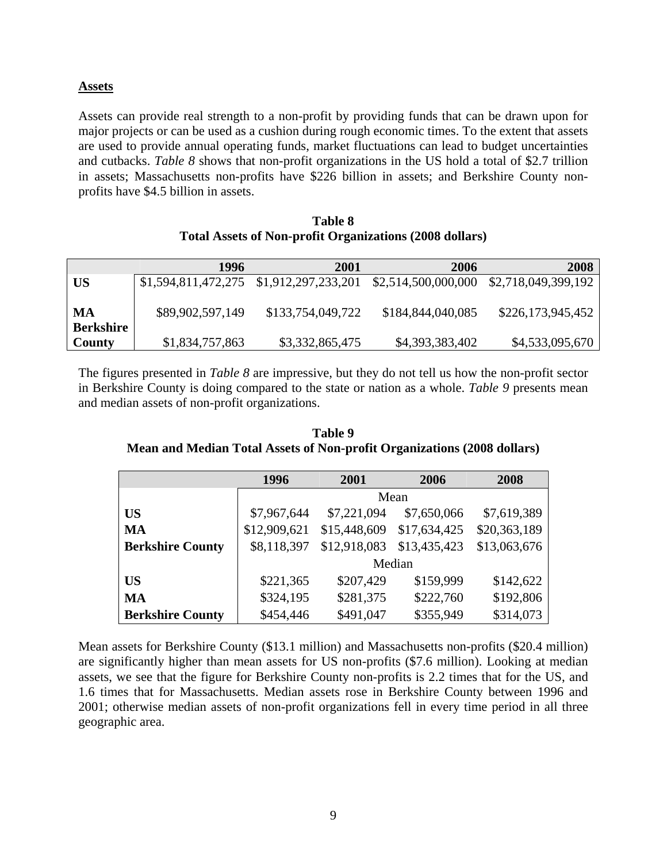## **Assets**

Assets can provide real strength to a non-profit by providing funds that can be drawn upon for major projects or can be used as a cushion during rough economic times. To the extent that assets are used to provide annual operating funds, market fluctuations can lead to budget uncertainties and cutbacks. *Table 8* shows that non-profit organizations in the US hold a total of \$2.7 trillion in assets; Massachusetts non-profits have \$226 billion in assets; and Berkshire County nonprofits have \$4.5 billion in assets.

| Table 8                                                        |
|----------------------------------------------------------------|
| <b>Total Assets of Non-profit Organizations (2008 dollars)</b> |

|                        | 1996                                    | 2001              | 2006                | 2008                |
|------------------------|-----------------------------------------|-------------------|---------------------|---------------------|
| <b>US</b>              | \$1,594,811,472,275 \$1,912,297,233,201 |                   | \$2,514,500,000,000 | \$2,718,049,399,192 |
| MA<br><b>Berkshire</b> | \$89,902,597,149                        | \$133,754,049,722 | \$184,844,040,085   | \$226,173,945,452   |
| County                 | \$1,834,757,863                         | \$3,332,865,475   | \$4,393,383,402     | \$4,533,095,670     |

The figures presented in *Table 8* are impressive, but they do not tell us how the non-profit sector in Berkshire County is doing compared to the state or nation as a whole. *Table 9* presents mean and median assets of non-profit organizations.

**Table 9 Mean and Median Total Assets of Non-profit Organizations (2008 dollars)** 

|                         | 1996         | 2001         | 2006         | 2008         |  |  |
|-------------------------|--------------|--------------|--------------|--------------|--|--|
|                         |              | Mean         |              |              |  |  |
| <b>US</b>               | \$7,967,644  | \$7,221,094  | \$7,650,066  | \$7,619,389  |  |  |
| <b>MA</b>               | \$12,909,621 | \$15,448,609 | \$17,634,425 | \$20,363,189 |  |  |
| <b>Berkshire County</b> | \$8,118,397  | \$12,918,083 | \$13,435,423 | \$13,063,676 |  |  |
|                         | Median       |              |              |              |  |  |
| <b>US</b>               | \$221,365    | \$207,429    | \$159,999    | \$142,622    |  |  |
| <b>MA</b>               | \$324,195    | \$281,375    | \$222,760    | \$192,806    |  |  |
| <b>Berkshire County</b> | \$454,446    | \$491,047    | \$355,949    | \$314,073    |  |  |

Mean assets for Berkshire County (\$13.1 million) and Massachusetts non-profits (\$20.4 million) are significantly higher than mean assets for US non-profits (\$7.6 million). Looking at median assets, we see that the figure for Berkshire County non-profits is 2.2 times that for the US, and 1.6 times that for Massachusetts. Median assets rose in Berkshire County between 1996 and 2001; otherwise median assets of non-profit organizations fell in every time period in all three geographic area.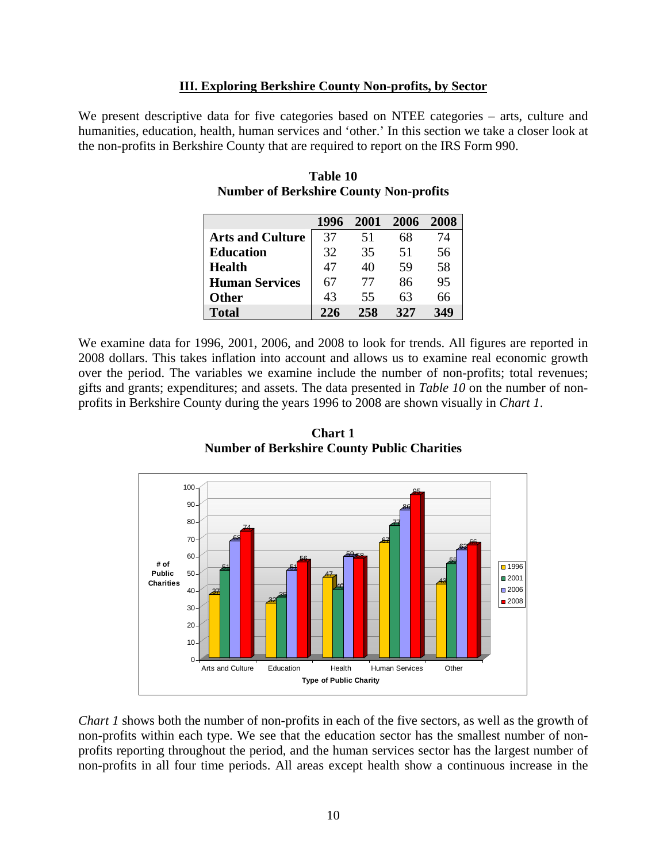#### **III. Exploring Berkshire County Non-profits, by Sector**

We present descriptive data for five categories based on NTEE categories – arts, culture and humanities, education, health, human services and 'other.' In this section we take a closer look at the non-profits in Berkshire County that are required to report on the IRS Form 990.

|                         | 1996 | 2001 | 2006 | 2008 |
|-------------------------|------|------|------|------|
| <b>Arts and Culture</b> | 37   | 51   | 68   | 74   |
| <b>Education</b>        | 32   | 35   | 51   | 56   |
| <b>Health</b>           | 47   | 40   | 59   | 58   |
| <b>Human Services</b>   | 67   | 77   | 86   | 95   |
| <b>Other</b>            | 43   | 55   | 63   | 66   |
| <b>Total</b>            | 226  | 258  | 32.7 | 349  |

**Table 10 Number of Berkshire County Non-profits** 

We examine data for 1996, 2001, 2006, and 2008 to look for trends. All figures are reported in 2008 dollars. This takes inflation into account and allows us to examine real economic growth over the period. The variables we examine include the number of non-profits; total revenues; gifts and grants; expenditures; and assets. The data presented in *Table 10* on the number of nonprofits in Berkshire County during the years 1996 to 2008 are shown visually in *Chart 1*.



**Chart 1 Number of Berkshire County Public Charities** 

*Chart 1* shows both the number of non-profits in each of the five sectors, as well as the growth of non-profits within each type. We see that the education sector has the smallest number of nonprofits reporting throughout the period, and the human services sector has the largest number of non-profits in all four time periods. All areas except health show a continuous increase in the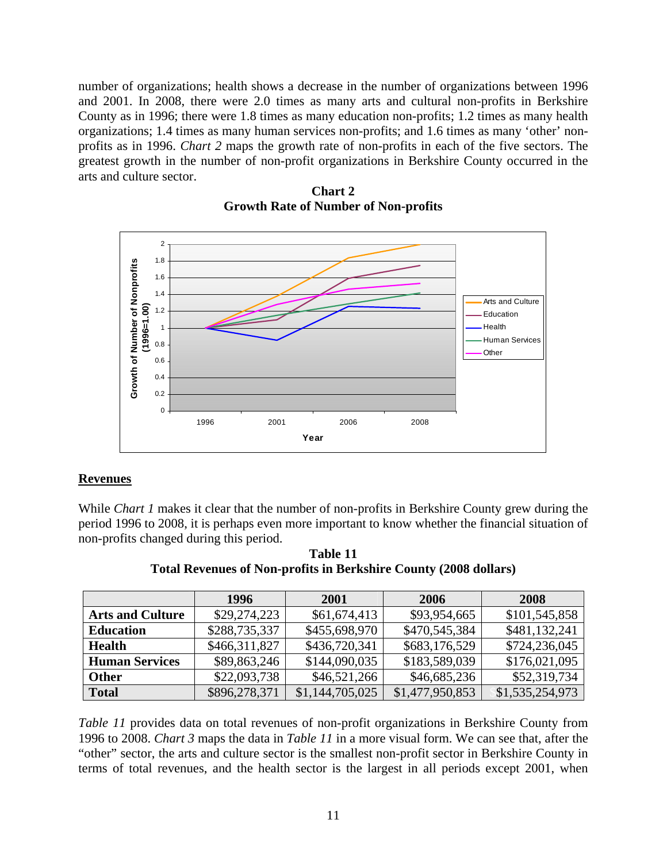number of organizations; health shows a decrease in the number of organizations between 1996 and 2001. In 2008, there were 2.0 times as many arts and cultural non-profits in Berkshire County as in 1996; there were 1.8 times as many education non-profits; 1.2 times as many health organizations; 1.4 times as many human services non-profits; and 1.6 times as many 'other' nonprofits as in 1996. *Chart 2* maps the growth rate of non-profits in each of the five sectors. The greatest growth in the number of non-profit organizations in Berkshire County occurred in the arts and culture sector.



**Chart 2 Growth Rate of Number of Non-profits** 

# **Revenues**

While *Chart 1* makes it clear that the number of non-profits in Berkshire County grew during the period 1996 to 2008, it is perhaps even more important to know whether the financial situation of non-profits changed during this period.

**Table 11 Total Revenues of Non-profits in Berkshire County (2008 dollars)** 

|                         | 1996          | 2001            | 2006            | <b>2008</b>     |
|-------------------------|---------------|-----------------|-----------------|-----------------|
| <b>Arts and Culture</b> | \$29,274,223  | \$61,674,413    | \$93,954,665    | \$101,545,858   |
| <b>Education</b>        | \$288,735,337 | \$455,698,970   | \$470,545,384   | \$481,132,241   |
| <b>Health</b>           | \$466,311,827 | \$436,720,341   | \$683,176,529   | \$724,236,045   |
| <b>Human Services</b>   | \$89,863,246  | \$144,090,035   | \$183,589,039   | \$176,021,095   |
| <b>Other</b>            | \$22,093,738  | \$46,521,266    | \$46,685,236    | \$52,319,734    |
| <b>Total</b>            | \$896,278,371 | \$1,144,705,025 | \$1,477,950,853 | \$1,535,254,973 |

*Table 11* provides data on total revenues of non-profit organizations in Berkshire County from 1996 to 2008. *Chart 3* maps the data in *Table 11* in a more visual form. We can see that, after the "other" sector, the arts and culture sector is the smallest non-profit sector in Berkshire County in terms of total revenues, and the health sector is the largest in all periods except 2001, when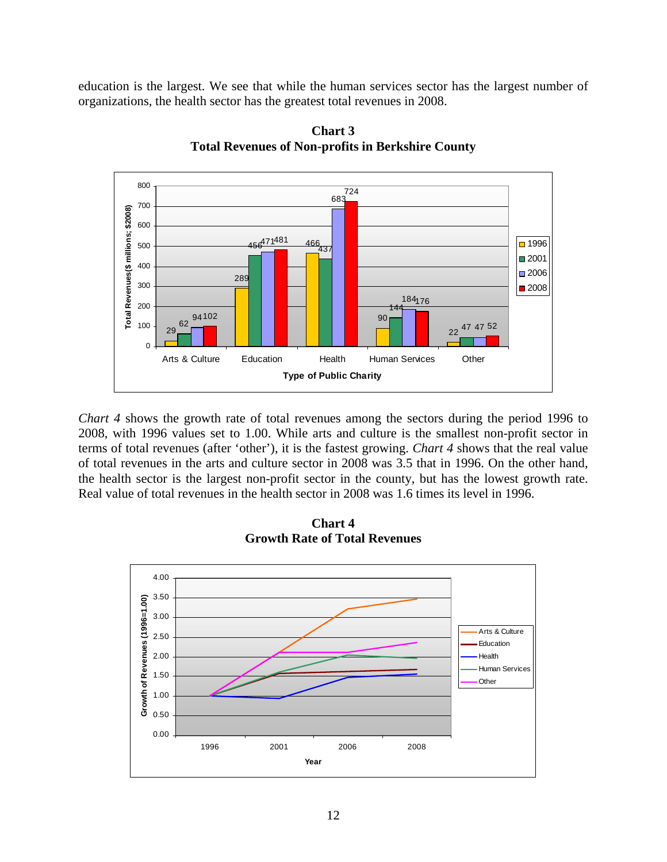education is the largest. We see that while the human services sector has the largest number of organizations, the health sector has the greatest total revenues in 2008.



**Chart 3 Total Revenues of Non-profits in Berkshire County** 

*Chart 4* shows the growth rate of total revenues among the sectors during the period 1996 to 2008, with 1996 values set to 1.00. While arts and culture is the smallest non-profit sector in terms of total revenues (after 'other'), it is the fastest growing. *Chart 4* shows that the real value of total revenues in the arts and culture sector in 2008 was 3.5 that in 1996. On the other hand, the health sector is the largest non-profit sector in the county, but has the lowest growth rate. Real value of total revenues in the health sector in 2008 was 1.6 times its level in 1996.



**Chart 4 Growth Rate of Total Revenues**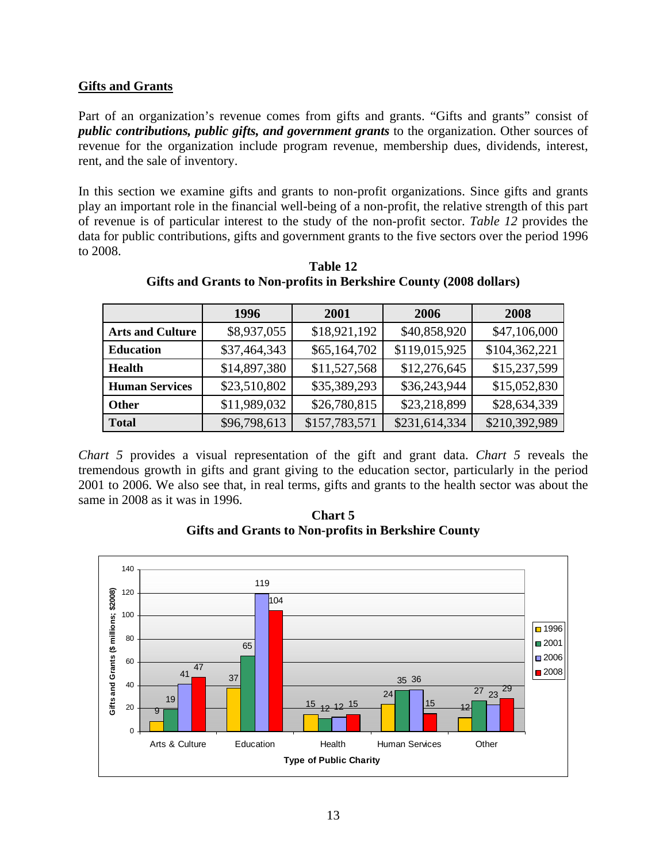## **Gifts and Grants**

Part of an organization's revenue comes from gifts and grants. "Gifts and grants" consist of *public contributions, public gifts, and government grants* to the organization. Other sources of revenue for the organization include program revenue, membership dues, dividends, interest, rent, and the sale of inventory.

In this section we examine gifts and grants to non-profit organizations. Since gifts and grants play an important role in the financial well-being of a non-profit, the relative strength of this part of revenue is of particular interest to the study of the non-profit sector. *Table 12* provides the data for public contributions, gifts and government grants to the five sectors over the period 1996 to 2008.

|                         | 1996         | <b>2001</b>   | 2006          | 2008          |
|-------------------------|--------------|---------------|---------------|---------------|
| <b>Arts and Culture</b> | \$8,937,055  | \$18,921,192  | \$40,858,920  | \$47,106,000  |
| <b>Education</b>        | \$37,464,343 | \$65,164,702  | \$119,015,925 | \$104,362,221 |
| <b>Health</b>           | \$14,897,380 | \$11,527,568  | \$12,276,645  | \$15,237,599  |
| <b>Human Services</b>   | \$23,510,802 | \$35,389,293  | \$36,243,944  | \$15,052,830  |
| <b>Other</b>            | \$11,989,032 | \$26,780,815  | \$23,218,899  | \$28,634,339  |
| <b>Total</b>            | \$96,798,613 | \$157,783,571 | \$231,614,334 | \$210,392,989 |

**Table 12 Gifts and Grants to Non-profits in Berkshire County (2008 dollars)** 

*Chart 5* provides a visual representation of the gift and grant data. *Chart 5* reveals the tremendous growth in gifts and grant giving to the education sector, particularly in the period 2001 to 2006. We also see that, in real terms, gifts and grants to the health sector was about the same in 2008 as it was in 1996.

**Chart 5 Gifts and Grants to Non-profits in Berkshire County** 

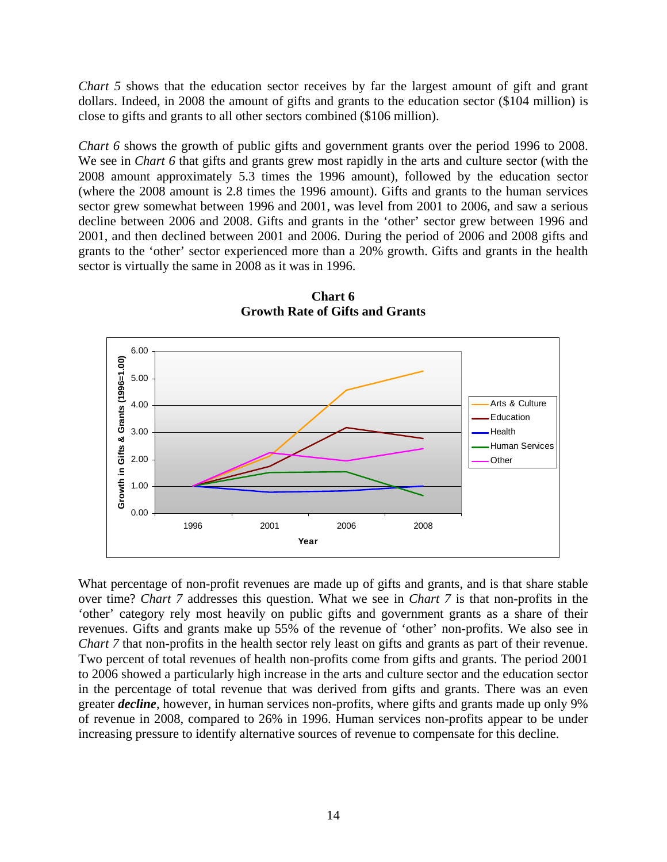*Chart 5* shows that the education sector receives by far the largest amount of gift and grant dollars. Indeed, in 2008 the amount of gifts and grants to the education sector (\$104 million) is close to gifts and grants to all other sectors combined (\$106 million).

*Chart 6* shows the growth of public gifts and government grants over the period 1996 to 2008. We see in *Chart 6* that gifts and grants grew most rapidly in the arts and culture sector (with the 2008 amount approximately 5.3 times the 1996 amount), followed by the education sector (where the 2008 amount is 2.8 times the 1996 amount). Gifts and grants to the human services sector grew somewhat between 1996 and 2001, was level from 2001 to 2006, and saw a serious decline between 2006 and 2008. Gifts and grants in the 'other' sector grew between 1996 and 2001, and then declined between 2001 and 2006. During the period of 2006 and 2008 gifts and grants to the 'other' sector experienced more than a 20% growth. Gifts and grants in the health sector is virtually the same in 2008 as it was in 1996.



**Chart 6 Growth Rate of Gifts and Grants** 

What percentage of non-profit revenues are made up of gifts and grants, and is that share stable over time? *Chart 7* addresses this question. What we see in *Chart 7* is that non-profits in the 'other' category rely most heavily on public gifts and government grants as a share of their revenues. Gifts and grants make up 55% of the revenue of 'other' non-profits. We also see in *Chart 7* that non-profits in the health sector rely least on gifts and grants as part of their revenue. Two percent of total revenues of health non-profits come from gifts and grants. The period 2001 to 2006 showed a particularly high increase in the arts and culture sector and the education sector in the percentage of total revenue that was derived from gifts and grants. There was an even greater *decline*, however, in human services non-profits, where gifts and grants made up only 9% of revenue in 2008, compared to 26% in 1996. Human services non-profits appear to be under increasing pressure to identify alternative sources of revenue to compensate for this decline.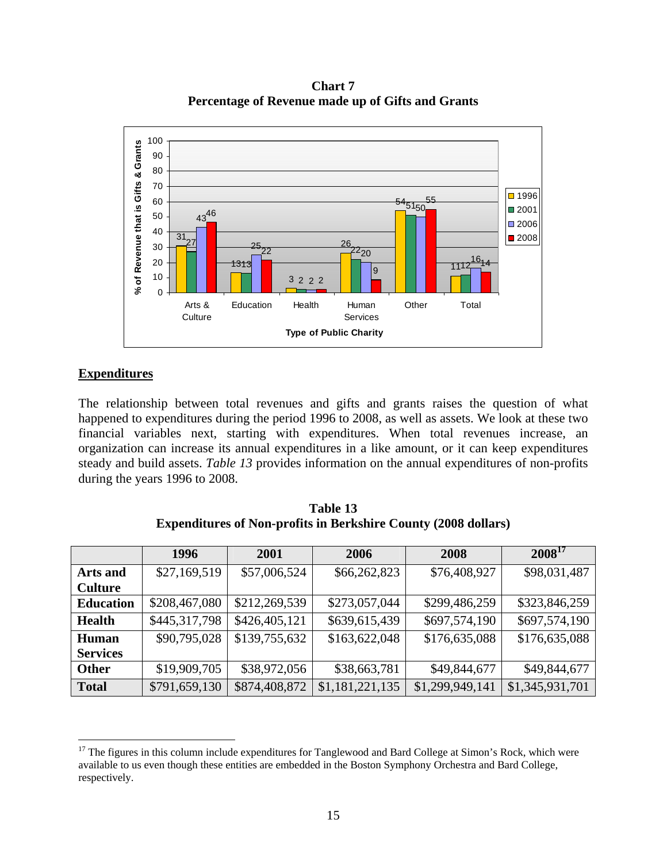**Chart 7 Percentage of Revenue made up of Gifts and Grants** 



# **Expenditures**

The relationship between total revenues and gifts and grants raises the question of what happened to expenditures during the period 1996 to 2008, as well as assets. We look at these two financial variables next, starting with expenditures. When total revenues increase, an organization can increase its annual expenditures in a like amount, or it can keep expenditures steady and build assets. *Table 13* provides information on the annual expenditures of non-profits during the years 1996 to 2008.

| Table 13                                                              |
|-----------------------------------------------------------------------|
| <b>Expenditures of Non-profits in Berkshire County (2008 dollars)</b> |

|                  | 1996          | 2001          | 2006            | 2008            | $2008^{17}$     |
|------------------|---------------|---------------|-----------------|-----------------|-----------------|
| Arts and         | \$27,169,519  | \$57,006,524  | \$66,262,823    | \$76,408,927    | \$98,031,487    |
| <b>Culture</b>   |               |               |                 |                 |                 |
| <b>Education</b> | \$208,467,080 | \$212,269,539 | \$273,057,044   | \$299,486,259   | \$323,846,259   |
| <b>Health</b>    | \$445,317,798 | \$426,405,121 | \$639,615,439   | \$697,574,190   | \$697,574,190   |
| <b>Human</b>     | \$90,795,028  | \$139,755,632 | \$163,622,048   | \$176,635,088   | \$176,635,088   |
| <b>Services</b>  |               |               |                 |                 |                 |
| <b>Other</b>     | \$19,909,705  | \$38,972,056  | \$38,663,781    | \$49,844,677    | \$49,844,677    |
| <b>Total</b>     | \$791,659,130 | \$874,408,872 | \$1,181,221,135 | \$1,299,949,141 | \$1,345,931,701 |

 $\overline{a}$ <sup>17</sup> The figures in this column include expenditures for Tanglewood and Bard College at Simon's Rock, which were available to us even though these entities are embedded in the Boston Symphony Orchestra and Bard College, respectively.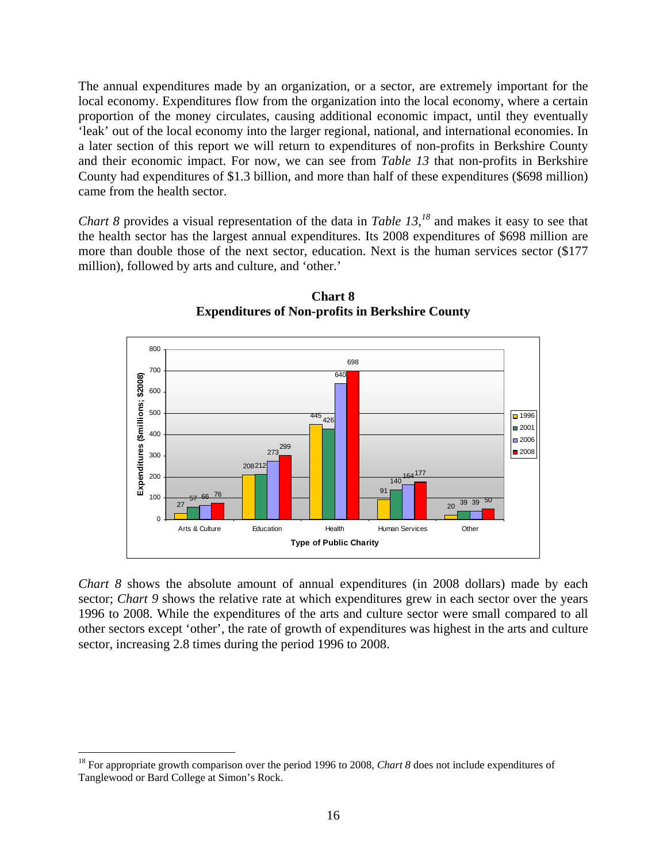The annual expenditures made by an organization, or a sector, are extremely important for the local economy. Expenditures flow from the organization into the local economy, where a certain proportion of the money circulates, causing additional economic impact, until they eventually 'leak' out of the local economy into the larger regional, national, and international economies. In a later section of this report we will return to expenditures of non-profits in Berkshire County and their economic impact. For now, we can see from *Table 13* that non-profits in Berkshire County had expenditures of \$1.3 billion, and more than half of these expenditures (\$698 million) came from the health sector.

*Chart 8* provides a visual representation of the data in *Table 13*,<sup>18</sup> and makes it easy to see that the health sector has the largest annual expenditures. Its 2008 expenditures of \$698 million are more than double those of the next sector, education. Next is the human services sector (\$177 million), followed by arts and culture, and 'other.'



**Chart 8 Expenditures of Non-profits in Berkshire County** 

*Chart 8* shows the absolute amount of annual expenditures (in 2008 dollars) made by each sector; *Chart* 9 shows the relative rate at which expenditures grew in each sector over the years 1996 to 2008. While the expenditures of the arts and culture sector were small compared to all other sectors except 'other', the rate of growth of expenditures was highest in the arts and culture sector, increasing 2.8 times during the period 1996 to 2008.

1

<sup>&</sup>lt;sup>18</sup> For appropriate growth comparison over the period 1996 to 2008, *Chart 8* does not include expenditures of Tanglewood or Bard College at Simon's Rock.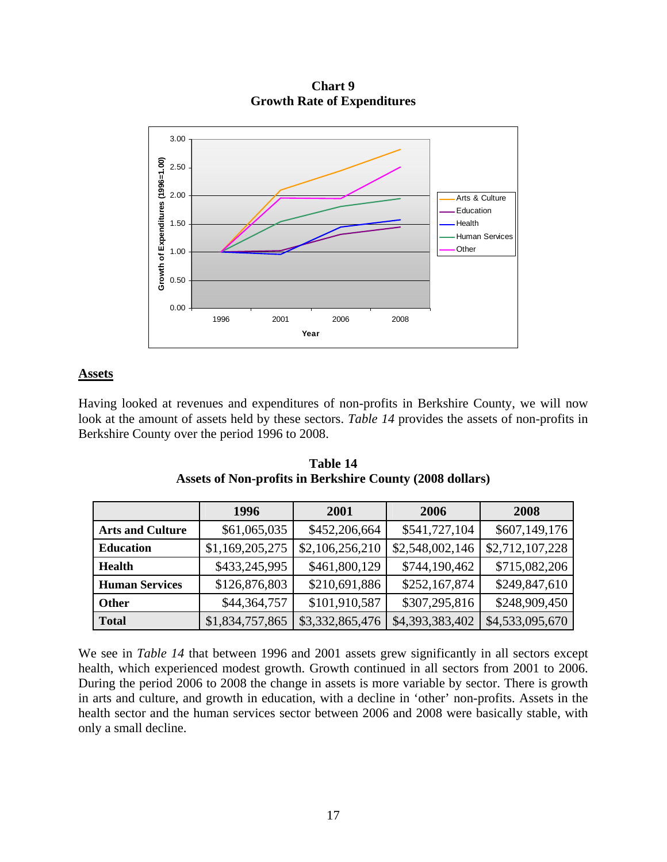3.00 Growth of Expenditures (1996=1.00) **Growth of Expenditures (1996=1.00)** 2.50 2.00 Arts & Culture Education 1.50 Health Human Services Other 1.00 0.50 0.00 1996 2001 2006 2008 **Year**

**Chart 9 Growth Rate of Expenditures** 

## **Assets**

Having looked at revenues and expenditures of non-profits in Berkshire County, we will now look at the amount of assets held by these sectors. *Table 14* provides the assets of non-profits in Berkshire County over the period 1996 to 2008.

|                         | 1996            | 2001            | 2006            | 2008            |
|-------------------------|-----------------|-----------------|-----------------|-----------------|
| <b>Arts and Culture</b> | \$61,065,035    | \$452,206,664   | \$541,727,104   | \$607,149,176   |
| <b>Education</b>        | \$1,169,205,275 | \$2,106,256,210 | \$2,548,002,146 | \$2,712,107,228 |
| <b>Health</b>           | \$433,245,995   | \$461,800,129   | \$744,190,462   | \$715,082,206   |
| <b>Human Services</b>   | \$126,876,803   | \$210,691,886   | \$252,167,874   | \$249,847,610   |
| <b>Other</b>            | \$44,364,757    | \$101,910,587   | \$307,295,816   | \$248,909,450   |
| <b>Total</b>            | \$1,834,757,865 | \$3,332,865,476 | \$4,393,383,402 | \$4,533,095,670 |

**Table 14 Assets of Non-profits in Berkshire County (2008 dollars)** 

We see in *Table 14* that between 1996 and 2001 assets grew significantly in all sectors except health, which experienced modest growth. Growth continued in all sectors from 2001 to 2006. During the period 2006 to 2008 the change in assets is more variable by sector. There is growth in arts and culture, and growth in education, with a decline in 'other' non-profits. Assets in the health sector and the human services sector between 2006 and 2008 were basically stable, with only a small decline.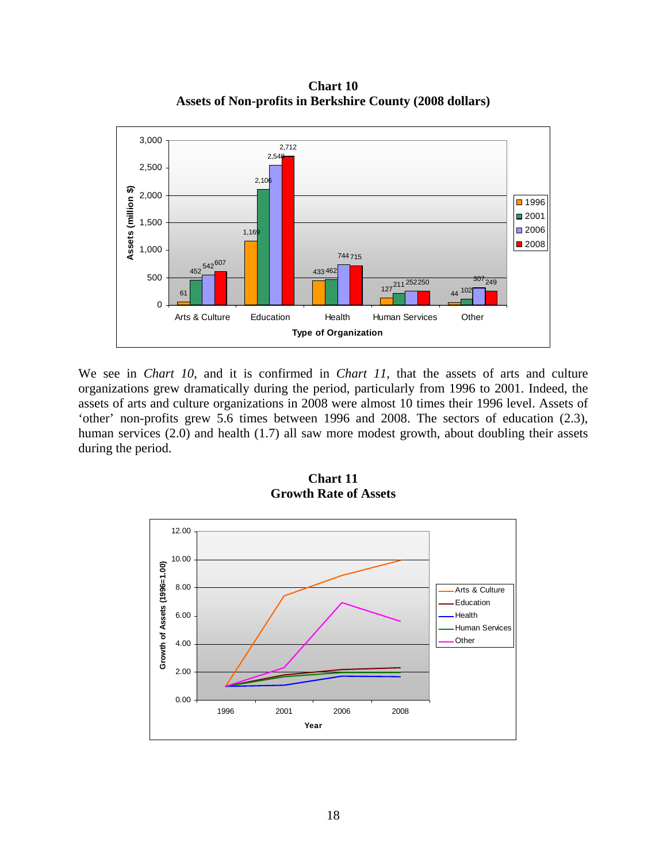**Chart 10 Assets of Non-profits in Berkshire County (2008 dollars)** 



We see in *Chart 10*, and it is confirmed in *Chart 11*, that the assets of arts and culture organizations grew dramatically during the period, particularly from 1996 to 2001. Indeed, the assets of arts and culture organizations in 2008 were almost 10 times their 1996 level. Assets of 'other' non-profits grew 5.6 times between 1996 and 2008. The sectors of education (2.3), human services (2.0) and health (1.7) all saw more modest growth, about doubling their assets during the period.



**Chart 11 Growth Rate of Assets**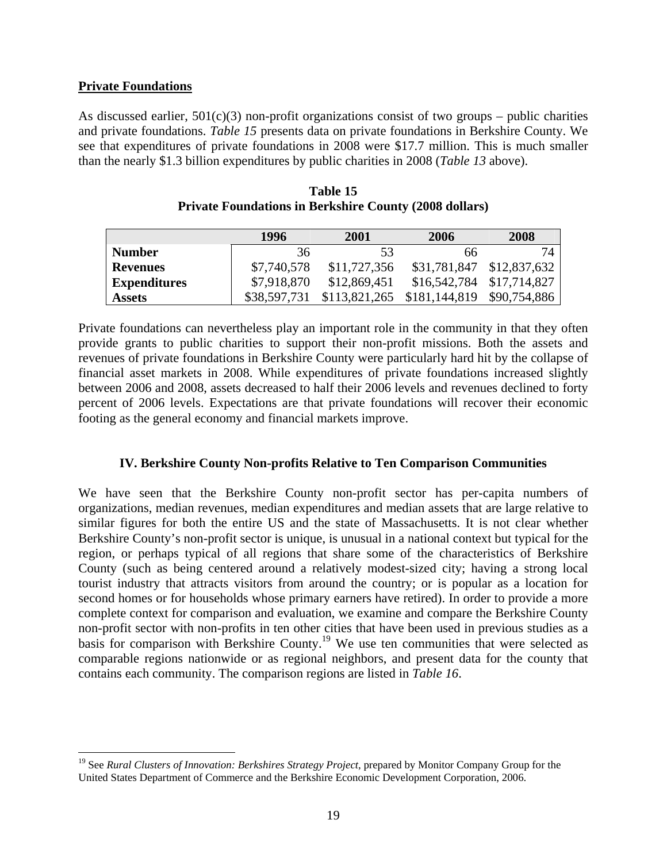#### **Private Foundations**

 $\overline{a}$ 

As discussed earlier,  $501(c)(3)$  non-profit organizations consist of two groups – public charities and private foundations. *Table 15* presents data on private foundations in Berkshire County. We see that expenditures of private foundations in 2008 were \$17.7 million. This is much smaller than the nearly \$1.3 billion expenditures by public charities in 2008 (*Table 13* above).

|                     | 1996         | 2001                        | 2006                      | 2008         |
|---------------------|--------------|-----------------------------|---------------------------|--------------|
| <b>Number</b>       | 36           | 53                          | 66                        | 74           |
| <b>Revenues</b>     | \$7,740,578  | \$11,727,356                | \$31,781,847              | \$12,837,632 |
| <b>Expenditures</b> | \$7,918,870  | \$12,869,451                | \$16,542,784 \$17,714,827 |              |
| <b>Assets</b>       | \$38,597,731 | \$113,821,265 \$181,144,819 |                           | \$90,754,886 |

**Table 15 Private Foundations in Berkshire County (2008 dollars)** 

Private foundations can nevertheless play an important role in the community in that they often provide grants to public charities to support their non-profit missions. Both the assets and revenues of private foundations in Berkshire County were particularly hard hit by the collapse of financial asset markets in 2008. While expenditures of private foundations increased slightly between 2006 and 2008, assets decreased to half their 2006 levels and revenues declined to forty percent of 2006 levels. Expectations are that private foundations will recover their economic footing as the general economy and financial markets improve.

# **IV. Berkshire County Non-profits Relative to Ten Comparison Communities**

We have seen that the Berkshire County non-profit sector has per-capita numbers of organizations, median revenues, median expenditures and median assets that are large relative to similar figures for both the entire US and the state of Massachusetts. It is not clear whether Berkshire County's non-profit sector is unique, is unusual in a national context but typical for the region, or perhaps typical of all regions that share some of the characteristics of Berkshire County (such as being centered around a relatively modest-sized city; having a strong local tourist industry that attracts visitors from around the country; or is popular as a location for second homes or for households whose primary earners have retired). In order to provide a more complete context for comparison and evaluation, we examine and compare the Berkshire County non-profit sector with non-profits in ten other cities that have been used in previous studies as a basis for comparison with Berkshire County.<sup>19</sup> We use ten communities that were selected as comparable regions nationwide or as regional neighbors, and present data for the county that contains each community. The comparison regions are listed in *Table 16*.

<sup>&</sup>lt;sup>19</sup> See *Rural Clusters of Innovation: Berkshires Strategy Project*, prepared by Monitor Company Group for the United States Department of Commerce and the Berkshire Economic Development Corporation, 2006.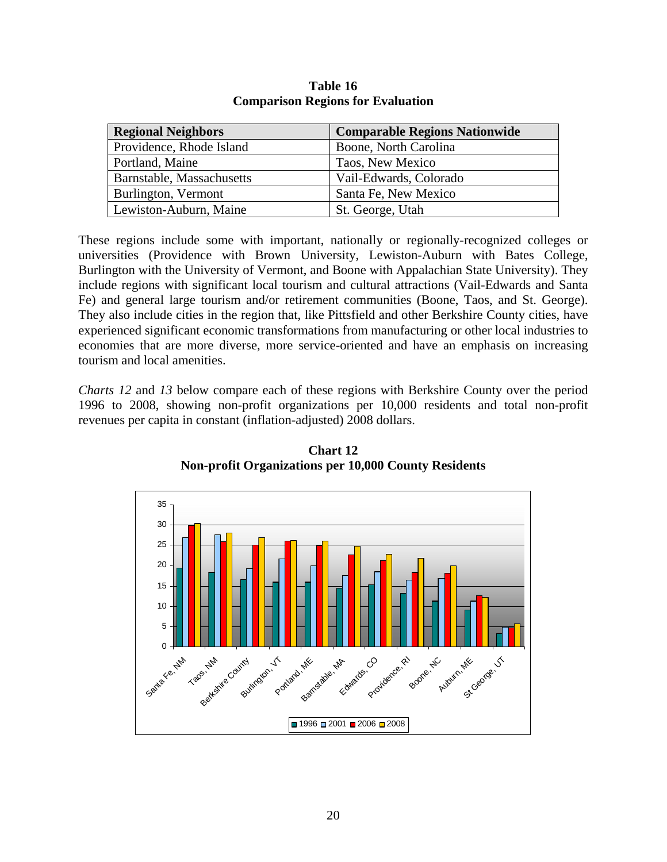| <b>Regional Neighbors</b> | <b>Comparable Regions Nationwide</b> |
|---------------------------|--------------------------------------|
| Providence, Rhode Island  | Boone, North Carolina                |
| Portland, Maine           | Taos, New Mexico                     |
| Barnstable, Massachusetts | Vail-Edwards, Colorado               |
| Burlington, Vermont       | Santa Fe, New Mexico                 |
| Lewiston-Auburn, Maine    | St. George, Utah                     |

**Table 16 Comparison Regions for Evaluation** 

These regions include some with important, nationally or regionally-recognized colleges or universities (Providence with Brown University, Lewiston-Auburn with Bates College, Burlington with the University of Vermont, and Boone with Appalachian State University). They include regions with significant local tourism and cultural attractions (Vail-Edwards and Santa Fe) and general large tourism and/or retirement communities (Boone, Taos, and St. George). They also include cities in the region that, like Pittsfield and other Berkshire County cities, have experienced significant economic transformations from manufacturing or other local industries to economies that are more diverse, more service-oriented and have an emphasis on increasing tourism and local amenities.

*Charts 12* and *13* below compare each of these regions with Berkshire County over the period 1996 to 2008, showing non-profit organizations per 10,000 residents and total non-profit revenues per capita in constant (inflation-adjusted) 2008 dollars.



**Chart 12 Non-profit Organizations per 10,000 County Residents**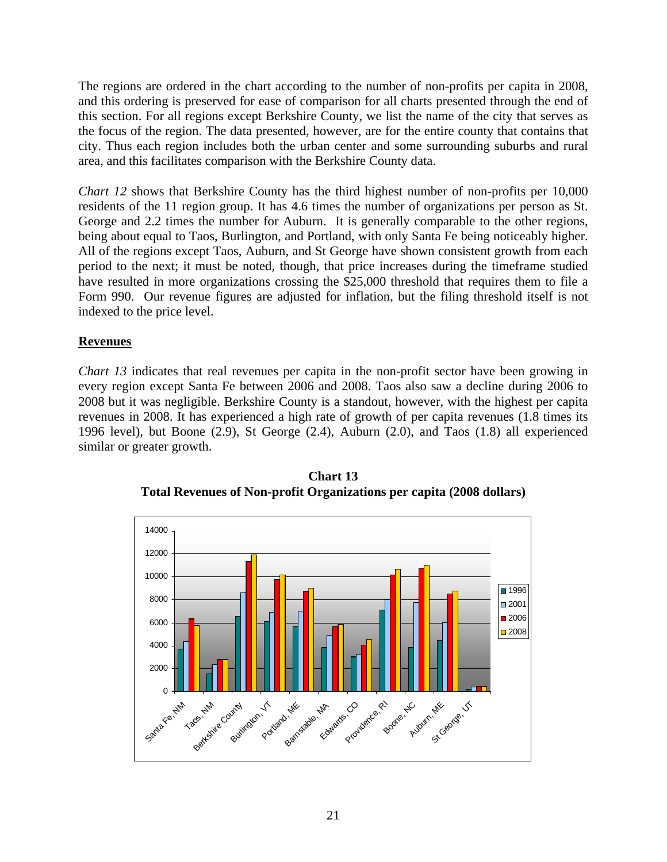The regions are ordered in the chart according to the number of non-profits per capita in 2008, and this ordering is preserved for ease of comparison for all charts presented through the end of this section. For all regions except Berkshire County, we list the name of the city that serves as the focus of the region. The data presented, however, are for the entire county that contains that city. Thus each region includes both the urban center and some surrounding suburbs and rural area, and this facilitates comparison with the Berkshire County data.

*Chart 12* shows that Berkshire County has the third highest number of non-profits per 10,000 residents of the 11 region group. It has 4.6 times the number of organizations per person as St. George and 2.2 times the number for Auburn. It is generally comparable to the other regions, being about equal to Taos, Burlington, and Portland, with only Santa Fe being noticeably higher. All of the regions except Taos, Auburn, and St George have shown consistent growth from each period to the next; it must be noted, though, that price increases during the timeframe studied have resulted in more organizations crossing the \$25,000 threshold that requires them to file a Form 990. Our revenue figures are adjusted for inflation, but the filing threshold itself is not indexed to the price level.

# **Revenues**

*Chart 13* indicates that real revenues per capita in the non-profit sector have been growing in every region except Santa Fe between 2006 and 2008. Taos also saw a decline during 2006 to 2008 but it was negligible. Berkshire County is a standout, however, with the highest per capita revenues in 2008. It has experienced a high rate of growth of per capita revenues (1.8 times its 1996 level), but Boone (2.9), St George (2.4), Auburn (2.0), and Taos (1.8) all experienced similar or greater growth.



**Chart 13 Total Revenues of Non-profit Organizations per capita (2008 dollars)**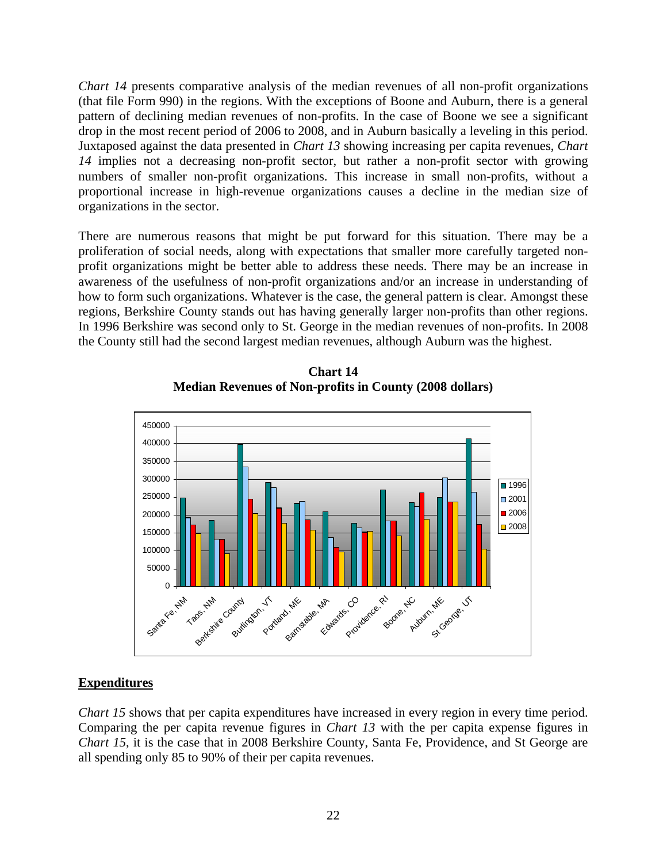*Chart 14* presents comparative analysis of the median revenues of all non-profit organizations (that file Form 990) in the regions. With the exceptions of Boone and Auburn, there is a general pattern of declining median revenues of non-profits. In the case of Boone we see a significant drop in the most recent period of 2006 to 2008, and in Auburn basically a leveling in this period. Juxtaposed against the data presented in *Chart 13* showing increasing per capita revenues, *Chart 14* implies not a decreasing non-profit sector, but rather a non-profit sector with growing numbers of smaller non-profit organizations. This increase in small non-profits, without a proportional increase in high-revenue organizations causes a decline in the median size of organizations in the sector.

There are numerous reasons that might be put forward for this situation. There may be a proliferation of social needs, along with expectations that smaller more carefully targeted nonprofit organizations might be better able to address these needs. There may be an increase in awareness of the usefulness of non-profit organizations and/or an increase in understanding of how to form such organizations. Whatever is the case, the general pattern is clear. Amongst these regions, Berkshire County stands out has having generally larger non-profits than other regions. In 1996 Berkshire was second only to St. George in the median revenues of non-profits. In 2008 the County still had the second largest median revenues, although Auburn was the highest.



**Chart 14 Median Revenues of Non-profits in County (2008 dollars)** 

# **Expenditures**

*Chart 15* shows that per capita expenditures have increased in every region in every time period. Comparing the per capita revenue figures in *Chart 13* with the per capita expense figures in *Chart 15*, it is the case that in 2008 Berkshire County, Santa Fe, Providence, and St George are all spending only 85 to 90% of their per capita revenues.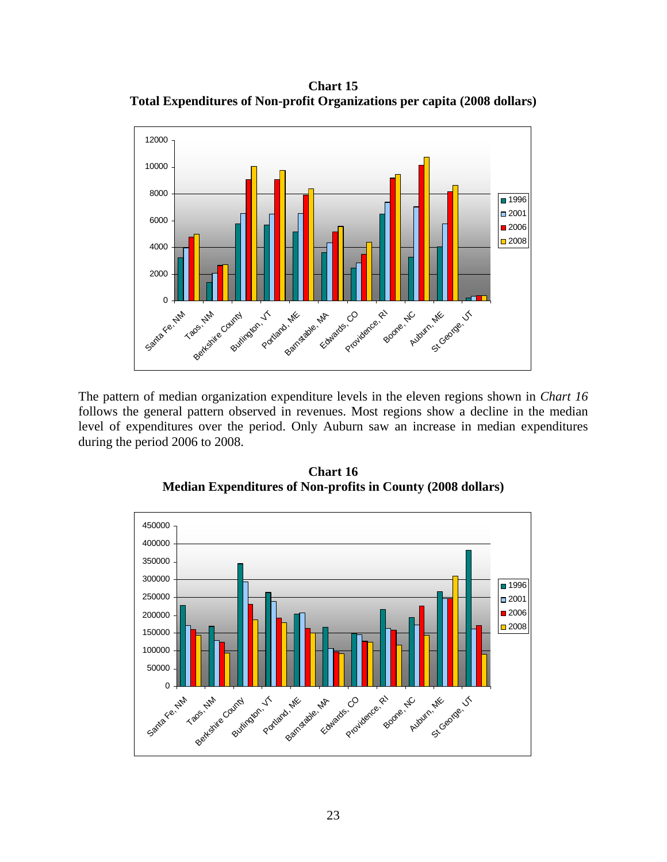**Chart 15 Total Expenditures of Non-profit Organizations per capita (2008 dollars)** 



The pattern of median organization expenditure levels in the eleven regions shown in *Chart 16* follows the general pattern observed in revenues. Most regions show a decline in the median level of expenditures over the period. Only Auburn saw an increase in median expenditures during the period 2006 to 2008.



**Chart 16 Median Expenditures of Non-profits in County (2008 dollars)**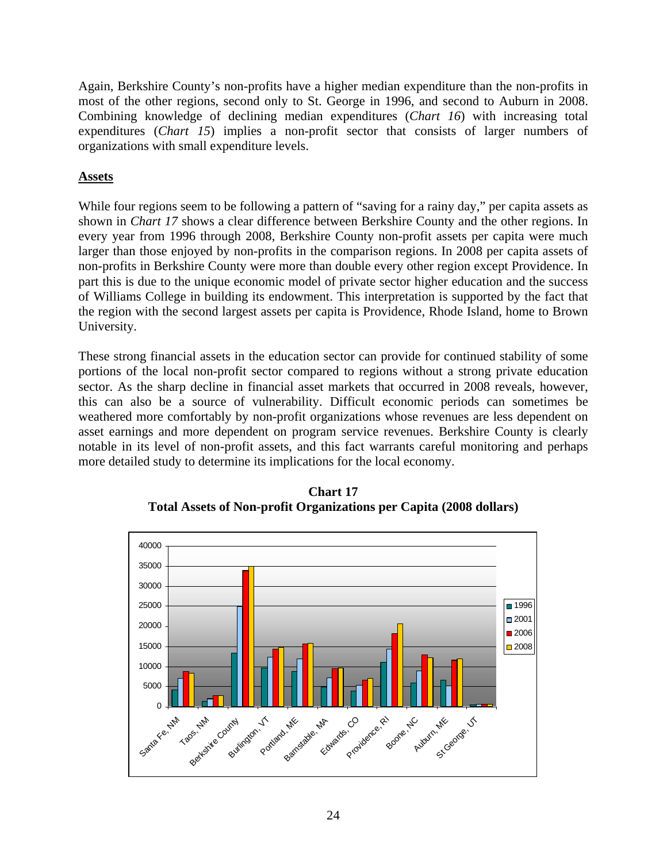Again, Berkshire County's non-profits have a higher median expenditure than the non-profits in most of the other regions, second only to St. George in 1996, and second to Auburn in 2008. Combining knowledge of declining median expenditures (*Chart 16*) with increasing total expenditures (*Chart 15*) implies a non-profit sector that consists of larger numbers of organizations with small expenditure levels.

# **Assets**

While four regions seem to be following a pattern of "saving for a rainy day," per capita assets as shown in *Chart 17* shows a clear difference between Berkshire County and the other regions. In every year from 1996 through 2008, Berkshire County non-profit assets per capita were much larger than those enjoyed by non-profits in the comparison regions. In 2008 per capita assets of non-profits in Berkshire County were more than double every other region except Providence. In part this is due to the unique economic model of private sector higher education and the success of Williams College in building its endowment. This interpretation is supported by the fact that the region with the second largest assets per capita is Providence, Rhode Island, home to Brown University.

These strong financial assets in the education sector can provide for continued stability of some portions of the local non-profit sector compared to regions without a strong private education sector. As the sharp decline in financial asset markets that occurred in 2008 reveals, however, this can also be a source of vulnerability. Difficult economic periods can sometimes be weathered more comfortably by non-profit organizations whose revenues are less dependent on asset earnings and more dependent on program service revenues. Berkshire County is clearly notable in its level of non-profit assets, and this fact warrants careful monitoring and perhaps more detailed study to determine its implications for the local economy.



**Chart 17 Total Assets of Non-profit Organizations per Capita (2008 dollars)**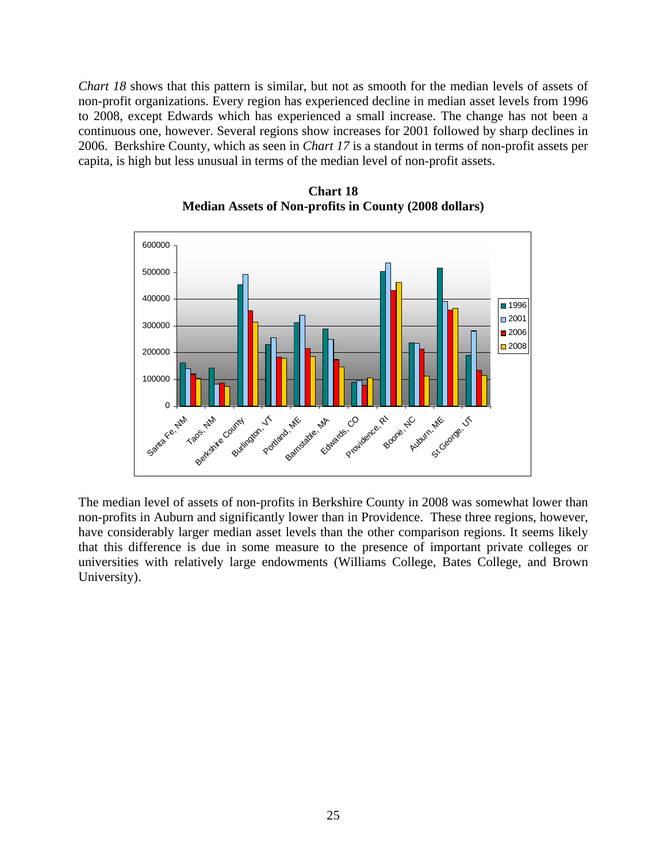*Chart 18* shows that this pattern is similar, but not as smooth for the median levels of assets of non-profit organizations. Every region has experienced decline in median asset levels from 1996 to 2008, except Edwards which has experienced a small increase. The change has not been a continuous one, however. Several regions show increases for 2001 followed by sharp declines in 2006. Berkshire County, which as seen in *Chart 17* is a standout in terms of non-profit assets per capita, is high but less unusual in terms of the median level of non-profit assets.



**Chart 18 Median Assets of Non-profits in County (2008 dollars)** 

The median level of assets of non-profits in Berkshire County in 2008 was somewhat lower than non-profits in Auburn and significantly lower than in Providence. These three regions, however, have considerably larger median asset levels than the other comparison regions. It seems likely that this difference is due in some measure to the presence of important private colleges or universities with relatively large endowments (Williams College, Bates College, and Brown University).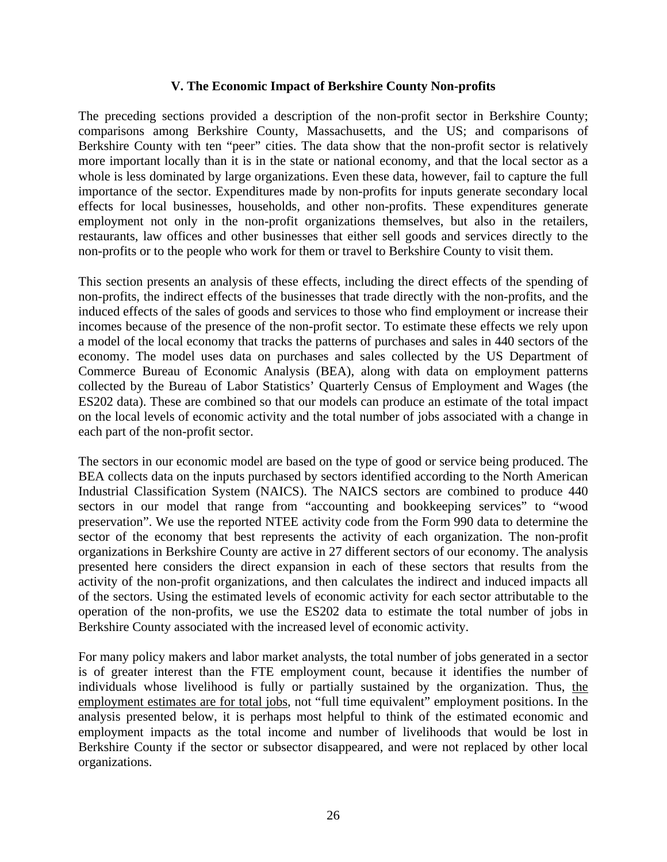#### **V. The Economic Impact of Berkshire County Non-profits**

The preceding sections provided a description of the non-profit sector in Berkshire County; comparisons among Berkshire County, Massachusetts, and the US; and comparisons of Berkshire County with ten "peer" cities. The data show that the non-profit sector is relatively more important locally than it is in the state or national economy, and that the local sector as a whole is less dominated by large organizations. Even these data, however, fail to capture the full importance of the sector. Expenditures made by non-profits for inputs generate secondary local effects for local businesses, households, and other non-profits. These expenditures generate employment not only in the non-profit organizations themselves, but also in the retailers, restaurants, law offices and other businesses that either sell goods and services directly to the non-profits or to the people who work for them or travel to Berkshire County to visit them.

This section presents an analysis of these effects, including the direct effects of the spending of non-profits, the indirect effects of the businesses that trade directly with the non-profits, and the induced effects of the sales of goods and services to those who find employment or increase their incomes because of the presence of the non-profit sector. To estimate these effects we rely upon a model of the local economy that tracks the patterns of purchases and sales in 440 sectors of the economy. The model uses data on purchases and sales collected by the US Department of Commerce Bureau of Economic Analysis (BEA), along with data on employment patterns collected by the Bureau of Labor Statistics' Quarterly Census of Employment and Wages (the ES202 data). These are combined so that our models can produce an estimate of the total impact on the local levels of economic activity and the total number of jobs associated with a change in each part of the non-profit sector.

The sectors in our economic model are based on the type of good or service being produced. The BEA collects data on the inputs purchased by sectors identified according to the North American Industrial Classification System (NAICS). The NAICS sectors are combined to produce 440 sectors in our model that range from "accounting and bookkeeping services" to "wood preservation". We use the reported NTEE activity code from the Form 990 data to determine the sector of the economy that best represents the activity of each organization. The non-profit organizations in Berkshire County are active in 27 different sectors of our economy. The analysis presented here considers the direct expansion in each of these sectors that results from the activity of the non-profit organizations, and then calculates the indirect and induced impacts all of the sectors. Using the estimated levels of economic activity for each sector attributable to the operation of the non-profits, we use the ES202 data to estimate the total number of jobs in Berkshire County associated with the increased level of economic activity.

For many policy makers and labor market analysts, the total number of jobs generated in a sector is of greater interest than the FTE employment count, because it identifies the number of individuals whose livelihood is fully or partially sustained by the organization. Thus, the employment estimates are for total jobs, not "full time equivalent" employment positions. In the analysis presented below, it is perhaps most helpful to think of the estimated economic and employment impacts as the total income and number of livelihoods that would be lost in Berkshire County if the sector or subsector disappeared, and were not replaced by other local organizations.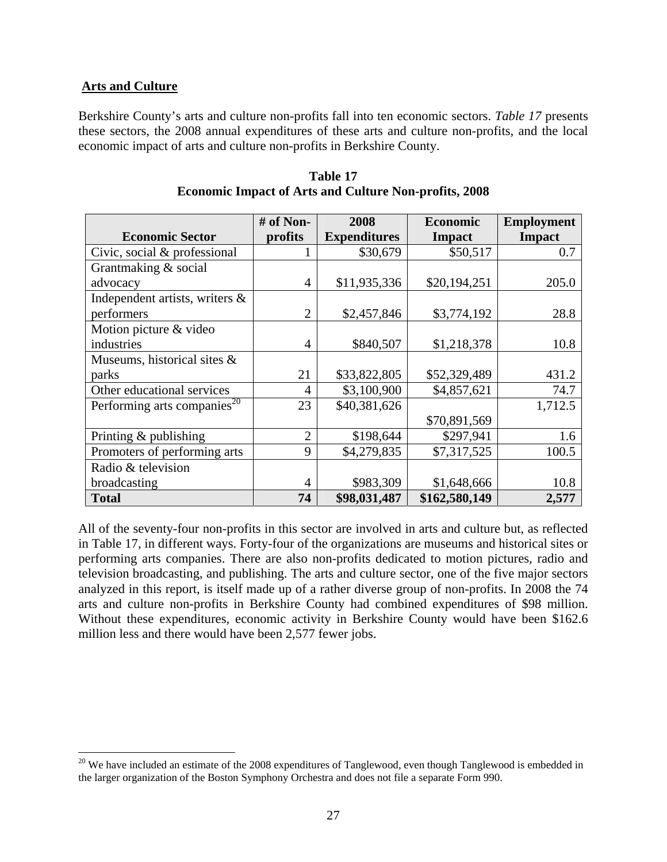#### **Arts and Culture**

 $\overline{a}$ 

Berkshire County's arts and culture non-profits fall into ten economic sectors. *Table 17* presents these sectors, the 2008 annual expenditures of these arts and culture non-profits, and the local economic impact of arts and culture non-profits in Berkshire County.

|                                         | # of Non-      | 2008                | <b>Economic</b> | <b>Employment</b> |
|-----------------------------------------|----------------|---------------------|-----------------|-------------------|
| <b>Economic Sector</b>                  | profits        | <b>Expenditures</b> | <b>Impact</b>   | <b>Impact</b>     |
| Civic, social & professional            |                | \$30,679            | \$50,517        | 0.7               |
| Grantmaking & social                    |                |                     |                 |                   |
| advocacy                                | $\overline{4}$ | \$11,935,336        | \$20,194,251    | 205.0             |
| Independent artists, writers &          |                |                     |                 |                   |
| performers                              | $\overline{2}$ | \$2,457,846         | \$3,774,192     | 28.8              |
| Motion picture & video                  |                |                     |                 |                   |
| industries                              | 4              | \$840,507           | \$1,218,378     | 10.8              |
| Museums, historical sites &             |                |                     |                 |                   |
| parks                                   | 21             | \$33,822,805        | \$52,329,489    | 431.2             |
| Other educational services              | 4              | \$3,100,900         | \$4,857,621     | 74.7              |
| Performing arts companies <sup>20</sup> | 23             | \$40,381,626        |                 | 1,712.5           |
|                                         |                |                     | \$70,891,569    |                   |
| Printing $&$ publishing                 | $\overline{2}$ | \$198,644           | \$297,941       | 1.6               |
| Promoters of performing arts            | 9              | \$4,279,835         | \$7,317,525     | 100.5             |
| Radio & television                      |                |                     |                 |                   |
| broadcasting                            | 4              | \$983,309           | \$1,648,666     | 10.8              |
| <b>Total</b>                            | 74             | \$98,031,487        | \$162,580,149   | 2,577             |

**Table 17 Economic Impact of Arts and Culture Non-profits, 2008** 

All of the seventy-four non-profits in this sector are involved in arts and culture but, as reflected in Table 17, in different ways. Forty-four of the organizations are museums and historical sites or performing arts companies. There are also non-profits dedicated to motion pictures, radio and television broadcasting, and publishing. The arts and culture sector, one of the five major sectors analyzed in this report, is itself made up of a rather diverse group of non-profits. In 2008 the 74 arts and culture non-profits in Berkshire County had combined expenditures of \$98 million. Without these expenditures, economic activity in Berkshire County would have been \$162.6 million less and there would have been 2,577 fewer jobs.

 $20$  We have included an estimate of the 2008 expenditures of Tanglewood, even though Tanglewood is embedded in the larger organization of the Boston Symphony Orchestra and does not file a separate Form 990.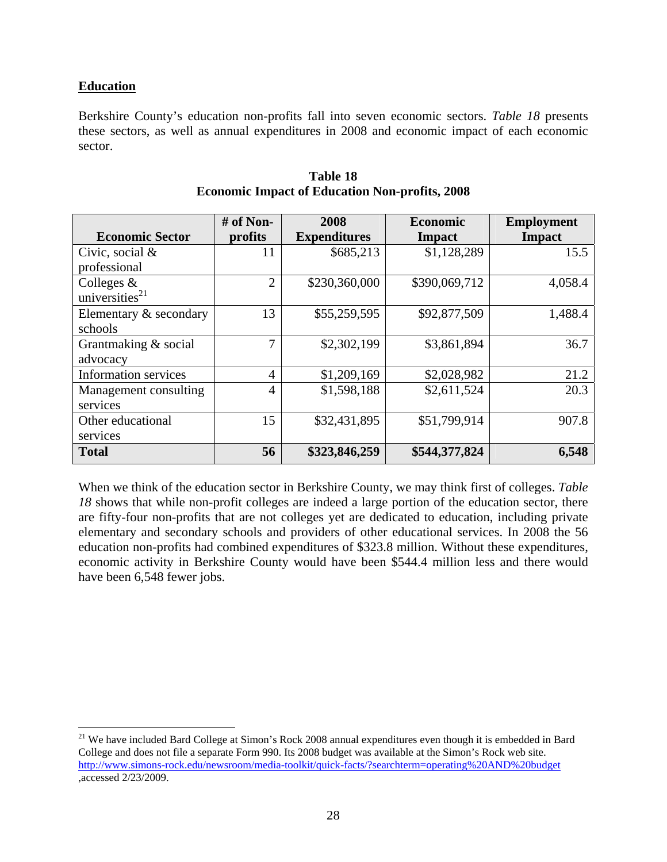# **Education**

<u>.</u>

Berkshire County's education non-profits fall into seven economic sectors. *Table 18* presents these sectors, as well as annual expenditures in 2008 and economic impact of each economic sector.

|                            | # of Non-      | 2008                | <b>Economic</b> | <b>Employment</b> |
|----------------------------|----------------|---------------------|-----------------|-------------------|
| <b>Economic Sector</b>     | profits        | <b>Expenditures</b> | Impact          | <b>Impact</b>     |
| Civic, social &            | 11             | \$685,213           | \$1,128,289     | 15.5              |
| professional               |                |                     |                 |                   |
| Colleges &                 | $\overline{2}$ | \$230,360,000       | \$390,069,712   | 4,058.4           |
| universities <sup>21</sup> |                |                     |                 |                   |
| Elementary & secondary     | 13             | \$55,259,595        | \$92,877,509    | 1,488.4           |
| schools                    |                |                     |                 |                   |
| Grantmaking & social       | 7              | \$2,302,199         | \$3,861,894     | 36.7              |
| advocacy                   |                |                     |                 |                   |
| Information services       | 4              | \$1,209,169         | \$2,028,982     | 21.2              |
| Management consulting      | 4              | \$1,598,188         | \$2,611,524     | 20.3              |
| services                   |                |                     |                 |                   |
| Other educational          | 15             | \$32,431,895        | \$51,799,914    | 907.8             |
| services                   |                |                     |                 |                   |
| <b>Total</b>               | 56             | \$323,846,259       | \$544,377,824   | 6,548             |

#### **Table 18 Economic Impact of Education Non-profits, 2008**

When we think of the education sector in Berkshire County, we may think first of colleges. *Table*  18 shows that while non-profit colleges are indeed a large portion of the education sector, there are fifty-four non-profits that are not colleges yet are dedicated to education, including private elementary and secondary schools and providers of other educational services. In 2008 the 56 education non-profits had combined expenditures of \$323.8 million. Without these expenditures, economic activity in Berkshire County would have been \$544.4 million less and there would have been 6,548 fewer jobs.

<sup>&</sup>lt;sup>21</sup> We have included Bard College at Simon's Rock 2008 annual expenditures even though it is embedded in Bard College and does not file a separate Form 990. Its 2008 budget was available at the Simon's Rock web site. http://www.simons-rock.edu/newsroom/media-toolkit/quick-facts/?searchterm=operating%20AND%20budget ,accessed 2/23/2009.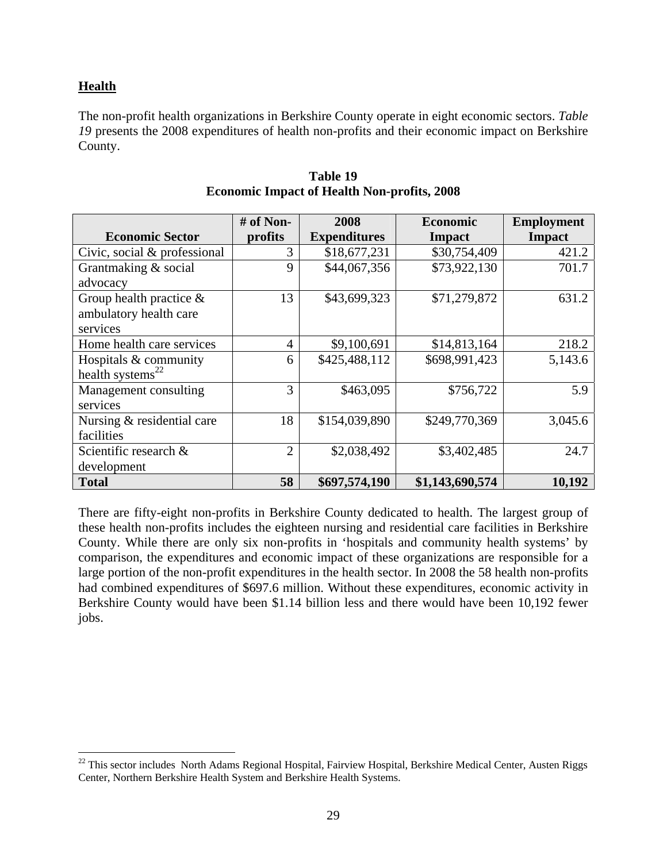# **Health**

 $\overline{a}$ 

The non-profit health organizations in Berkshire County operate in eight economic sectors. *Table 19* presents the 2008 expenditures of health non-profits and their economic impact on Berkshire County.

|                              | $#$ of Non-    | 2008                | <b>Economic</b> | <b>Employment</b> |
|------------------------------|----------------|---------------------|-----------------|-------------------|
| <b>Economic Sector</b>       | profits        | <b>Expenditures</b> | <b>Impact</b>   | <b>Impact</b>     |
| Civic, social & professional | 3              | \$18,677,231        | \$30,754,409    | 421.2             |
| Grantmaking & social         | 9              | \$44,067,356        | \$73,922,130    | 701.7             |
| advocacy                     |                |                     |                 |                   |
| Group health practice $\&$   | 13             | \$43,699,323        | \$71,279,872    | 631.2             |
| ambulatory health care       |                |                     |                 |                   |
| services                     |                |                     |                 |                   |
| Home health care services    | $\overline{4}$ | \$9,100,691         | \$14,813,164    | 218.2             |
| Hospitals & community        | 6              | \$425,488,112       | \$698,991,423   | 5,143.6           |
| health systems <sup>22</sup> |                |                     |                 |                   |
| Management consulting        | 3              | \$463,095           | \$756,722       | 5.9               |
| services                     |                |                     |                 |                   |
| Nursing & residential care   | 18             | \$154,039,890       | \$249,770,369   | 3,045.6           |
| facilities                   |                |                     |                 |                   |
| Scientific research &        | $\overline{2}$ | \$2,038,492         | \$3,402,485     | 24.7              |
| development                  |                |                     |                 |                   |
| <b>Total</b>                 | 58             | \$697,574,190       | \$1,143,690,574 | 10,192            |

#### **Table 19 Economic Impact of Health Non-profits, 2008**

There are fifty-eight non-profits in Berkshire County dedicated to health. The largest group of these health non-profits includes the eighteen nursing and residential care facilities in Berkshire County. While there are only six non-profits in 'hospitals and community health systems' by comparison, the expenditures and economic impact of these organizations are responsible for a large portion of the non-profit expenditures in the health sector. In 2008 the 58 health non-profits had combined expenditures of \$697.6 million. Without these expenditures, economic activity in Berkshire County would have been \$1.14 billion less and there would have been 10,192 fewer jobs.

 $^{22}$  This sector includes North Adams Regional Hospital, Fairview Hospital, Berkshire Medical Center, Austen Riggs Center, Northern Berkshire Health System and Berkshire Health Systems.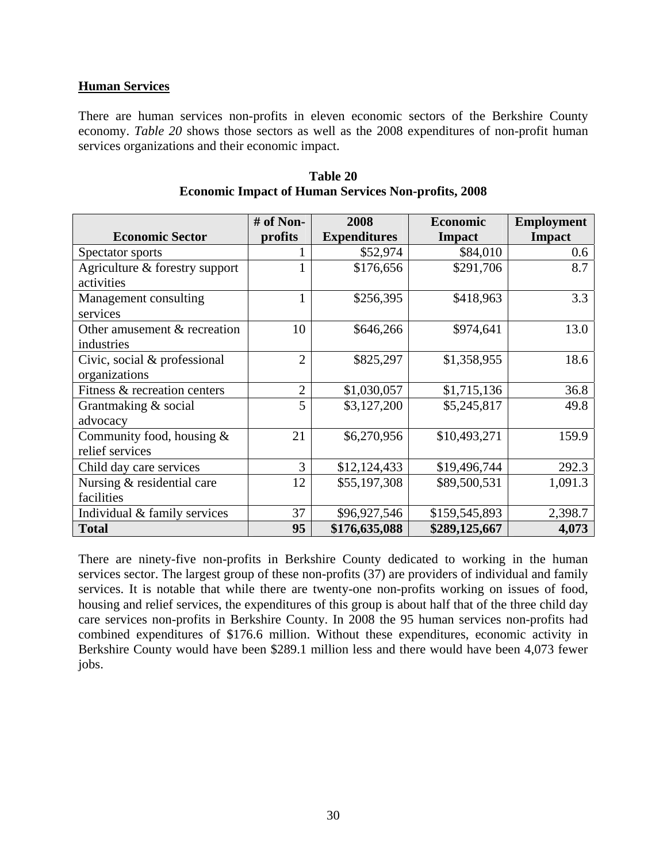#### **Human Services**

There are human services non-profits in eleven economic sectors of the Berkshire County economy. *Table 20* shows those sectors as well as the 2008 expenditures of non-profit human services organizations and their economic impact.

|                                                | $#$ of Non-    | 2008                | <b>Economic</b> | <b>Employment</b> |
|------------------------------------------------|----------------|---------------------|-----------------|-------------------|
| <b>Economic Sector</b>                         | profits        | <b>Expenditures</b> | <b>Impact</b>   | <b>Impact</b>     |
| Spectator sports                               |                | \$52,974            | \$84,010        | 0.6               |
| Agriculture & forestry support<br>activities   |                | \$176,656           | \$291,706       | 8.7               |
| Management consulting<br>services              |                | \$256,395           | \$418,963       | 3.3               |
| Other amusement & recreation<br>industries     | 10             | \$646,266           | \$974,641       | 13.0              |
| Civic, social & professional<br>organizations  | $\overline{2}$ | \$825,297           | \$1,358,955     | 18.6              |
| Fitness & recreation centers                   | $\overline{2}$ | \$1,030,057         | \$1,715,136     | 36.8              |
| Grantmaking & social<br>advocacy               | 5              | \$3,127,200         | \$5,245,817     | 49.8              |
| Community food, housing $&$<br>relief services | 21             | \$6,270,956         | \$10,493,271    | 159.9             |
| Child day care services                        | 3              | \$12,124,433        | \$19,496,744    | 292.3             |
| Nursing & residential care<br>facilities       | 12             | \$55,197,308        | \$89,500,531    | 1,091.3           |
| Individual & family services                   | 37             | \$96,927,546        | \$159,545,893   | 2,398.7           |
| <b>Total</b>                                   | 95             | \$176,635,088       | \$289,125,667   | 4,073             |

**Table 20 Economic Impact of Human Services Non-profits, 2008** 

There are ninety-five non-profits in Berkshire County dedicated to working in the human services sector. The largest group of these non-profits (37) are providers of individual and family services. It is notable that while there are twenty-one non-profits working on issues of food, housing and relief services, the expenditures of this group is about half that of the three child day care services non-profits in Berkshire County. In 2008 the 95 human services non-profits had combined expenditures of \$176.6 million. Without these expenditures, economic activity in Berkshire County would have been \$289.1 million less and there would have been 4,073 fewer jobs.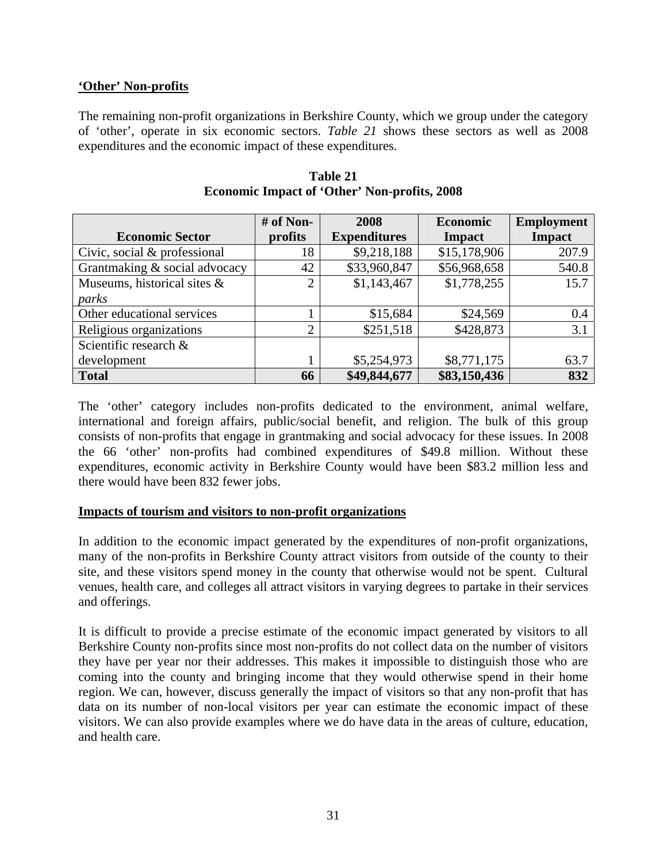## **'Other' Non-profits**

The remaining non-profit organizations in Berkshire County, which we group under the category of 'other', operate in six economic sectors. *Table 21* shows these sectors as well as 2008 expenditures and the economic impact of these expenditures.

|                               | $#$ of Non-    | 2008                | <b>Economic</b> | <b>Employment</b> |
|-------------------------------|----------------|---------------------|-----------------|-------------------|
| <b>Economic Sector</b>        | profits        | <b>Expenditures</b> | <b>Impact</b>   | <b>Impact</b>     |
| Civic, social & professional  | 18             | \$9,218,188         | \$15,178,906    | 207.9             |
| Grantmaking & social advocacy | 42             | \$33,960,847        | \$56,968,658    | 540.8             |
| Museums, historical sites &   | $\overline{2}$ | \$1,143,467         | \$1,778,255     | 15.7              |
| parks                         |                |                     |                 |                   |
| Other educational services    |                | \$15,684            | \$24,569        | 0.4               |
| Religious organizations       | 2              | \$251,518           | \$428,873       | 3.1               |
| Scientific research &         |                |                     |                 |                   |
| development                   |                | \$5,254,973         | \$8,771,175     | 63.7              |
| <b>Total</b>                  | 66             | \$49,844,677        | \$83,150,436    | 832               |

**Table 21 Economic Impact of 'Other' Non-profits, 2008** 

The 'other' category includes non-profits dedicated to the environment, animal welfare, international and foreign affairs, public/social benefit, and religion. The bulk of this group consists of non-profits that engage in grantmaking and social advocacy for these issues. In 2008 the 66 'other' non-profits had combined expenditures of \$49.8 million. Without these expenditures, economic activity in Berkshire County would have been \$83.2 million less and there would have been 832 fewer jobs.

#### **Impacts of tourism and visitors to non-profit organizations**

In addition to the economic impact generated by the expenditures of non-profit organizations, many of the non-profits in Berkshire County attract visitors from outside of the county to their site, and these visitors spend money in the county that otherwise would not be spent. Cultural venues, health care, and colleges all attract visitors in varying degrees to partake in their services and offerings.

It is difficult to provide a precise estimate of the economic impact generated by visitors to all Berkshire County non-profits since most non-profits do not collect data on the number of visitors they have per year nor their addresses. This makes it impossible to distinguish those who are coming into the county and bringing income that they would otherwise spend in their home region. We can, however, discuss generally the impact of visitors so that any non-profit that has data on its number of non-local visitors per year can estimate the economic impact of these visitors. We can also provide examples where we do have data in the areas of culture, education, and health care.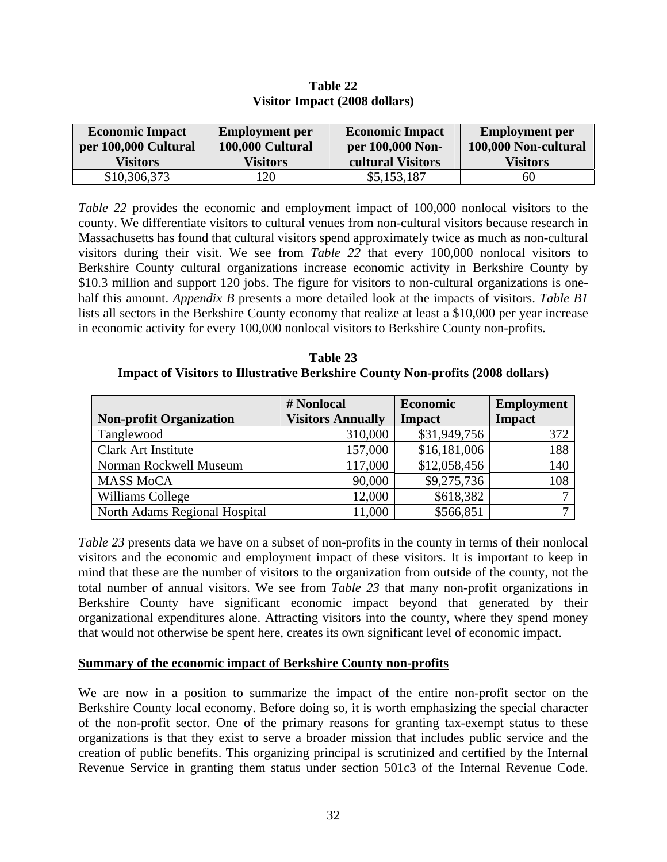| <b>Economic Impact</b><br>per 100,000 Cultural | <b>Employment</b> per<br>100,000 Cultural | <b>Economic Impact</b><br>per 100,000 Non- | <b>Employment</b> per<br>100,000 Non-cultural |
|------------------------------------------------|-------------------------------------------|--------------------------------------------|-----------------------------------------------|
| <b>Visitors</b>                                | <b>Visitors</b>                           | cultural Visitors                          | Visitors                                      |
| \$10,306,373                                   | 20                                        | \$5,153,187                                | 60                                            |

**Table 22 Visitor Impact (2008 dollars)** 

*Table 22* provides the economic and employment impact of 100,000 nonlocal visitors to the county. We differentiate visitors to cultural venues from non-cultural visitors because research in Massachusetts has found that cultural visitors spend approximately twice as much as non-cultural visitors during their visit. We see from *Table 22* that every 100,000 nonlocal visitors to Berkshire County cultural organizations increase economic activity in Berkshire County by \$10.3 million and support 120 jobs. The figure for visitors to non-cultural organizations is onehalf this amount. *Appendix B* presents a more detailed look at the impacts of visitors. *Table B1* lists all sectors in the Berkshire County economy that realize at least a \$10,000 per year increase in economic activity for every 100,000 nonlocal visitors to Berkshire County non-profits.

**Table 23 Impact of Visitors to Illustrative Berkshire County Non-profits (2008 dollars)** 

|                                | # Nonlocal               | Economic     | <b>Employment</b> |
|--------------------------------|--------------------------|--------------|-------------------|
| <b>Non-profit Organization</b> | <b>Visitors Annually</b> | Impact       | <b>Impact</b>     |
| Tanglewood                     | 310,000                  | \$31,949,756 | 372               |
| <b>Clark Art Institute</b>     | 157,000                  | \$16,181,006 | 188               |
| Norman Rockwell Museum         | 117,000                  | \$12,058,456 | 140               |
| <b>MASS MoCA</b>               | 90,000                   | \$9,275,736  | 108               |
| Williams College               | 12,000                   | \$618,382    |                   |
| North Adams Regional Hospital  | 11,000                   | \$566,851    |                   |

*Table 23* presents data we have on a subset of non-profits in the county in terms of their nonlocal visitors and the economic and employment impact of these visitors. It is important to keep in mind that these are the number of visitors to the organization from outside of the county, not the total number of annual visitors. We see from *Table 23* that many non-profit organizations in Berkshire County have significant economic impact beyond that generated by their organizational expenditures alone. Attracting visitors into the county, where they spend money that would not otherwise be spent here, creates its own significant level of economic impact.

#### **Summary of the economic impact of Berkshire County non-profits**

We are now in a position to summarize the impact of the entire non-profit sector on the Berkshire County local economy. Before doing so, it is worth emphasizing the special character of the non-profit sector. One of the primary reasons for granting tax-exempt status to these organizations is that they exist to serve a broader mission that includes public service and the creation of public benefits. This organizing principal is scrutinized and certified by the Internal Revenue Service in granting them status under section 501c3 of the Internal Revenue Code.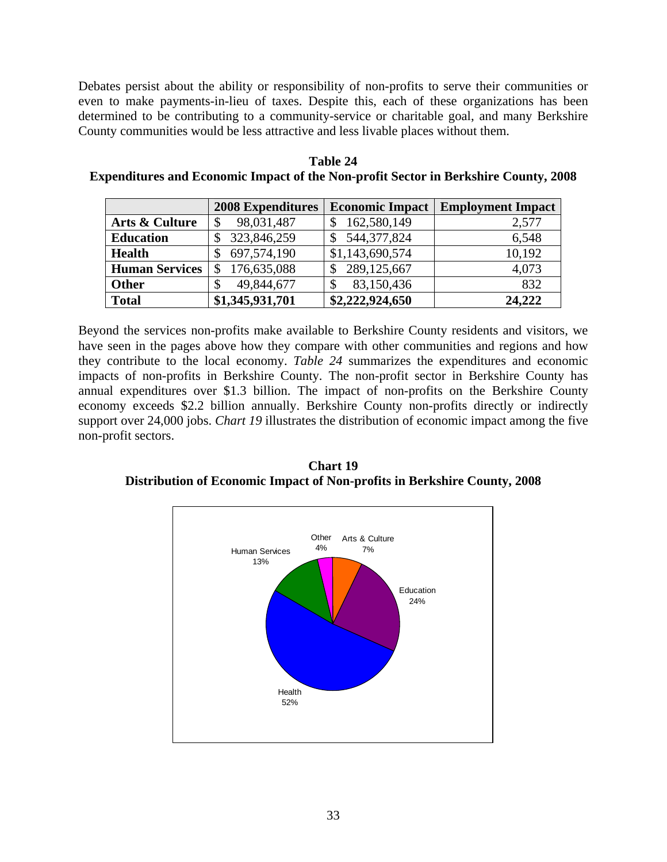Debates persist about the ability or responsibility of non-profits to serve their communities or even to make payments-in-lieu of taxes. Despite this, each of these organizations has been determined to be contributing to a community-service or charitable goal, and many Berkshire County communities would be less attractive and less livable places without them.

|                       | <b>2008 Expenditures</b> | <b>Economic Impact</b> | <b>Employment Impact</b> |
|-----------------------|--------------------------|------------------------|--------------------------|
| Arts & Culture        | 98,031,487               | 162,580,149            | 2,577                    |
| <b>Education</b>      | 323,846,259              | 544, 377, 824          | 6,548                    |
| <b>Health</b>         | 697,574,190              | \$1,143,690,574        | 10,192                   |
| <b>Human Services</b> | 176,635,088              | 289,125,667            | 4,073                    |
| <b>Other</b>          | 49,844,677<br>\$         | 83,150,436             | 832                      |
| <b>Total</b>          | \$1,345,931,701          | \$2,222,924,650        | 24,222                   |

**Table 24 Expenditures and Economic Impact of the Non-profit Sector in Berkshire County, 2008** 

Beyond the services non-profits make available to Berkshire County residents and visitors, we have seen in the pages above how they compare with other communities and regions and how they contribute to the local economy. *Table 24* summarizes the expenditures and economic impacts of non-profits in Berkshire County. The non-profit sector in Berkshire County has annual expenditures over \$1.3 billion. The impact of non-profits on the Berkshire County economy exceeds \$2.2 billion annually. Berkshire County non-profits directly or indirectly support over 24,000 jobs. *Chart 19* illustrates the distribution of economic impact among the five non-profit sectors.

**Chart 19 Distribution of Economic Impact of Non-profits in Berkshire County, 2008** 

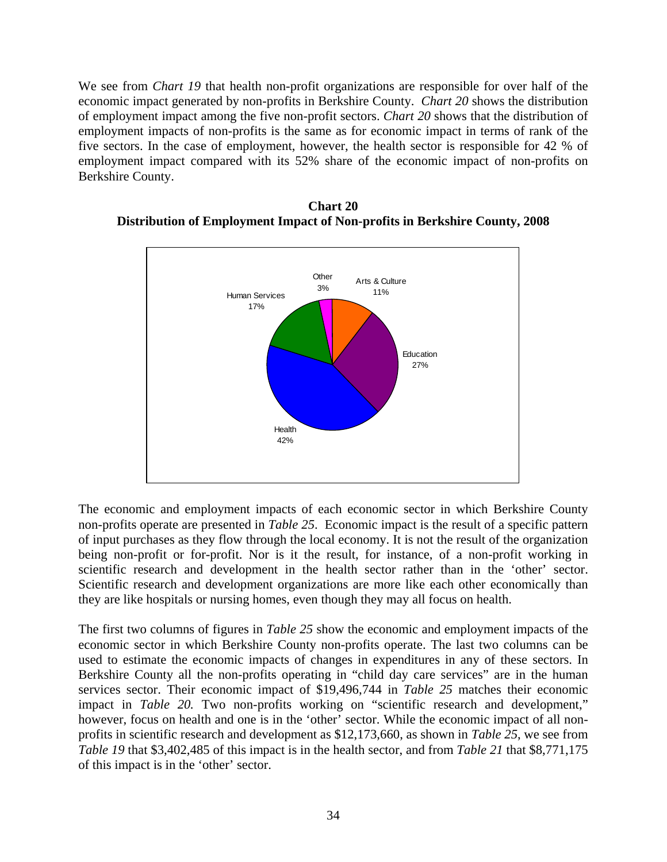We see from *Chart 19* that health non-profit organizations are responsible for over half of the economic impact generated by non-profits in Berkshire County. *Chart 20* shows the distribution of employment impact among the five non-profit sectors. *Chart 20* shows that the distribution of employment impacts of non-profits is the same as for economic impact in terms of rank of the five sectors. In the case of employment, however, the health sector is responsible for 42 % of employment impact compared with its 52% share of the economic impact of non-profits on Berkshire County.



**Chart 20 Distribution of Employment Impact of Non-profits in Berkshire County, 2008** 

The economic and employment impacts of each economic sector in which Berkshire County non-profits operate are presented in *Table 25*. Economic impact is the result of a specific pattern of input purchases as they flow through the local economy. It is not the result of the organization being non-profit or for-profit. Nor is it the result, for instance, of a non-profit working in scientific research and development in the health sector rather than in the 'other' sector. Scientific research and development organizations are more like each other economically than they are like hospitals or nursing homes, even though they may all focus on health.

The first two columns of figures in *Table 25* show the economic and employment impacts of the economic sector in which Berkshire County non-profits operate. The last two columns can be used to estimate the economic impacts of changes in expenditures in any of these sectors. In Berkshire County all the non-profits operating in "child day care services" are in the human services sector. Their economic impact of \$19,496,744 in *Table 25* matches their economic impact in *Table 20.* Two non-profits working on "scientific research and development," however, focus on health and one is in the 'other' sector. While the economic impact of all nonprofits in scientific research and development as \$12,173,660, as shown in *Table 25*, we see from *Table 19* that \$3,402,485 of this impact is in the health sector, and from *Table 21* that \$8,771,175 of this impact is in the 'other' sector.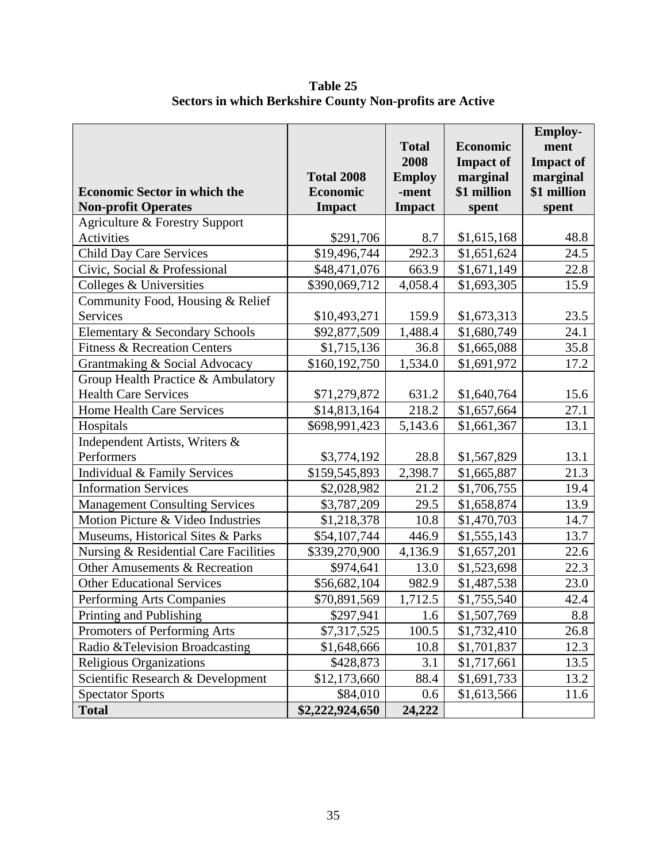|                                         |                   | <b>Total</b>  | <b>Economic</b>  | <b>Employ-</b><br>ment |
|-----------------------------------------|-------------------|---------------|------------------|------------------------|
|                                         |                   | 2008          | <b>Impact of</b> | <b>Impact of</b>       |
|                                         | <b>Total 2008</b> | <b>Employ</b> | marginal         | marginal               |
| <b>Economic Sector in which the</b>     | <b>Economic</b>   | -ment         | \$1 million      | \$1 million            |
| <b>Non-profit Operates</b>              | <b>Impact</b>     | <b>Impact</b> | spent            | spent                  |
| Agriculture & Forestry Support          |                   |               |                  |                        |
| Activities                              | \$291,706         | 8.7           | \$1,615,168      | 48.8                   |
| <b>Child Day Care Services</b>          | \$19,496,744      | 292.3         | \$1,651,624      | 24.5                   |
| Civic, Social & Professional            | \$48,471,076      | 663.9         | \$1,671,149      | 22.8                   |
| Colleges & Universities                 | \$390,069,712     | 4,058.4       | \$1,693,305      | 15.9                   |
| Community Food, Housing & Relief        |                   |               |                  |                        |
| Services                                | \$10,493,271      | 159.9         | \$1,673,313      | 23.5                   |
| Elementary & Secondary Schools          | \$92,877,509      | 1,488.4       | \$1,680,749      | 24.1                   |
| <b>Fitness &amp; Recreation Centers</b> | \$1,715,136       | 36.8          | \$1,665,088      | 35.8                   |
| Grantmaking & Social Advocacy           | \$160,192,750     | 1,534.0       | \$1,691,972      | 17.2                   |
| Group Health Practice & Ambulatory      |                   |               |                  |                        |
| <b>Health Care Services</b>             | \$71,279,872      | 631.2         | \$1,640,764      | 15.6                   |
| Home Health Care Services               | \$14,813,164      | 218.2         | \$1,657,664      | 27.1                   |
| Hospitals                               | \$698,991,423     | 5,143.6       | \$1,661,367      | 13.1                   |
| Independent Artists, Writers &          |                   |               |                  |                        |
| Performers                              | \$3,774,192       | 28.8          | \$1,567,829      | 13.1                   |
| Individual & Family Services            | \$159,545,893     | 2,398.7       | \$1,665,887      | 21.3                   |
| <b>Information Services</b>             | \$2,028,982       | 21.2          | \$1,706,755      | 19.4                   |
| <b>Management Consulting Services</b>   | \$3,787,209       | 29.5          | \$1,658,874      | 13.9                   |
| Motion Picture & Video Industries       | \$1,218,378       | 10.8          | \$1,470,703      | 14.7                   |
| Museums, Historical Sites & Parks       | \$54,107,744      | 446.9         | \$1,555,143      | 13.7                   |
| Nursing & Residential Care Facilities   | \$339,270,900     | 4,136.9       | \$1,657,201      | 22.6                   |
| Other Amusements & Recreation           | \$974,641         | 13.0          | \$1,523,698      | 22.3                   |
| <b>Other Educational Services</b>       | \$56,682,104      | 982.9         | \$1,487,538      | 23.0                   |
| Performing Arts Companies               | \$70,891,569      | 1,712.5       | \$1,755,540      | 42.4                   |
| Printing and Publishing                 | \$297,941         | 1.6           | \$1,507,769      | 8.8                    |
| Promoters of Performing Arts            | \$7,317,525       | 100.5         | \$1,732,410      | 26.8                   |
| Radio & Television Broadcasting         | \$1,648,666       | 10.8          | \$1,701,837      | 12.3                   |
| <b>Religious Organizations</b>          | \$428,873         | 3.1           | \$1,717,661      | 13.5                   |
| Scientific Research & Development       | \$12,173,660      | 88.4          | \$1,691,733      | 13.2                   |
| <b>Spectator Sports</b>                 | \$84,010          | 0.6           | \$1,613,566      | 11.6                   |
| <b>Total</b>                            | \$2,222,924,650   | 24,222        |                  |                        |

**Table 25 Sectors in which Berkshire County Non-profits are Active**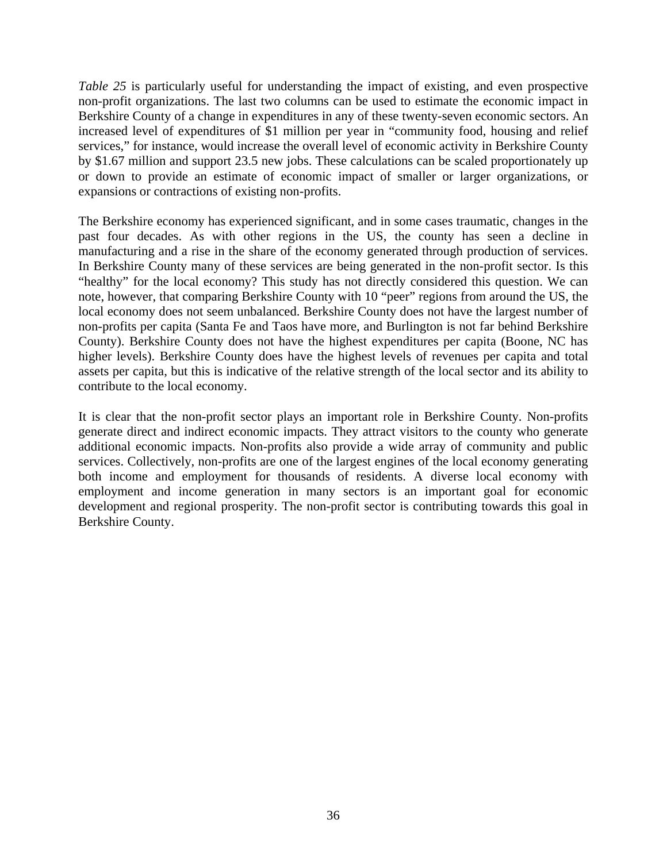*Table 25* is particularly useful for understanding the impact of existing, and even prospective non-profit organizations. The last two columns can be used to estimate the economic impact in Berkshire County of a change in expenditures in any of these twenty-seven economic sectors. An increased level of expenditures of \$1 million per year in "community food, housing and relief services," for instance, would increase the overall level of economic activity in Berkshire County by \$1.67 million and support 23.5 new jobs. These calculations can be scaled proportionately up or down to provide an estimate of economic impact of smaller or larger organizations, or expansions or contractions of existing non-profits.

The Berkshire economy has experienced significant, and in some cases traumatic, changes in the past four decades. As with other regions in the US, the county has seen a decline in manufacturing and a rise in the share of the economy generated through production of services. In Berkshire County many of these services are being generated in the non-profit sector. Is this "healthy" for the local economy? This study has not directly considered this question. We can note, however, that comparing Berkshire County with 10 "peer" regions from around the US, the local economy does not seem unbalanced. Berkshire County does not have the largest number of non-profits per capita (Santa Fe and Taos have more, and Burlington is not far behind Berkshire County). Berkshire County does not have the highest expenditures per capita (Boone, NC has higher levels). Berkshire County does have the highest levels of revenues per capita and total assets per capita, but this is indicative of the relative strength of the local sector and its ability to contribute to the local economy.

It is clear that the non-profit sector plays an important role in Berkshire County. Non-profits generate direct and indirect economic impacts. They attract visitors to the county who generate additional economic impacts. Non-profits also provide a wide array of community and public services. Collectively, non-profits are one of the largest engines of the local economy generating both income and employment for thousands of residents. A diverse local economy with employment and income generation in many sectors is an important goal for economic development and regional prosperity. The non-profit sector is contributing towards this goal in Berkshire County.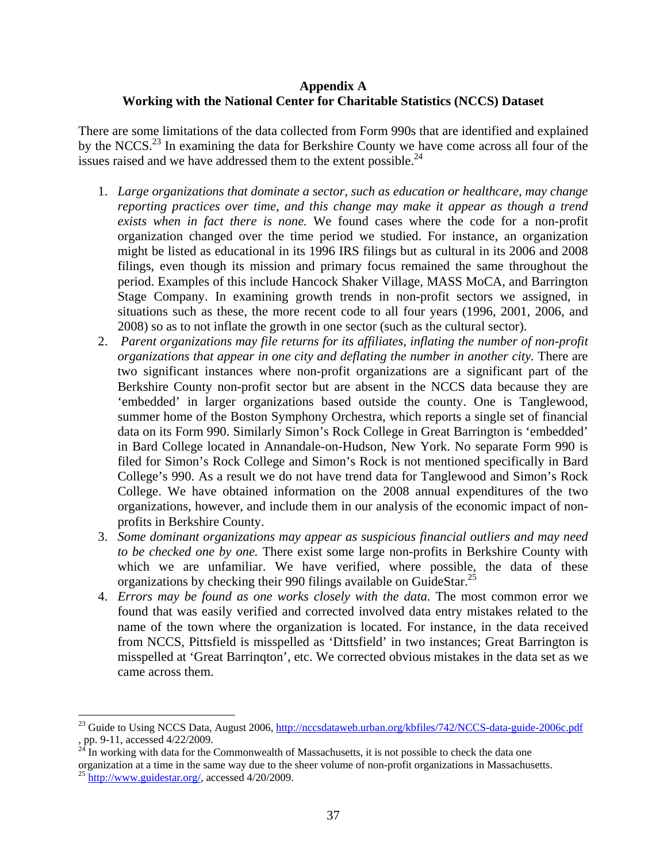## **Appendix A Working with the National Center for Charitable Statistics (NCCS) Dataset**

There are some limitations of the data collected from Form 990s that are identified and explained by the NCCS.<sup>23</sup> In examining the data for Berkshire County we have come across all four of the issues raised and we have addressed them to the extent possible. $^{24}$ 

- 1. *Large organizations that dominate a sector, such as education or healthcare, may change reporting practices over time, and this change may make it appear as though a trend exists when in fact there is none.* We found cases where the code for a non-profit organization changed over the time period we studied. For instance, an organization might be listed as educational in its 1996 IRS filings but as cultural in its 2006 and 2008 filings, even though its mission and primary focus remained the same throughout the period. Examples of this include Hancock Shaker Village, MASS MoCA, and Barrington Stage Company. In examining growth trends in non-profit sectors we assigned, in situations such as these, the more recent code to all four years (1996, 2001, 2006, and 2008) so as to not inflate the growth in one sector (such as the cultural sector).
- 2. *Parent organizations may file returns for its affiliates, inflating the number of non-profit organizations that appear in one city and deflating the number in another city.* There are two significant instances where non-profit organizations are a significant part of the Berkshire County non-profit sector but are absent in the NCCS data because they are 'embedded' in larger organizations based outside the county. One is Tanglewood, summer home of the Boston Symphony Orchestra, which reports a single set of financial data on its Form 990. Similarly Simon's Rock College in Great Barrington is 'embedded' in Bard College located in Annandale-on-Hudson, New York. No separate Form 990 is filed for Simon's Rock College and Simon's Rock is not mentioned specifically in Bard College's 990. As a result we do not have trend data for Tanglewood and Simon's Rock College. We have obtained information on the 2008 annual expenditures of the two organizations, however, and include them in our analysis of the economic impact of nonprofits in Berkshire County.
- 3. *Some dominant organizations may appear as suspicious financial outliers and may need to be checked one by one.* There exist some large non-profits in Berkshire County with which we are unfamiliar. We have verified, where possible, the data of these organizations by checking their 990 filings available on GuideStar.<sup>25</sup>
- 4. *Errors may be found as one works closely with the data.* The most common error we found that was easily verified and corrected involved data entry mistakes related to the name of the town where the organization is located. For instance, in the data received from NCCS, Pittsfield is misspelled as 'Dittsfield' in two instances; Great Barrington is misspelled at 'Great Barrinqton', etc. We corrected obvious mistakes in the data set as we came across them.

 $\overline{a}$ 

<sup>&</sup>lt;sup>23</sup> Guide to Using NCCS Data, August 2006, http://nccsdataweb.urban.org/kbfiles/742/NCCS-data-guide-2006c.pdf , pp. 9-11, accessed 4/22/2009.

 $24$  In working with data for the Commonwealth of Massachusetts, it is not possible to check the data one organization at a time in the same way due to the sheer volume of non-profit organizations in Massachusetts.

 $^{25}$  http://www.guidestar.org/, accessed 4/20/2009.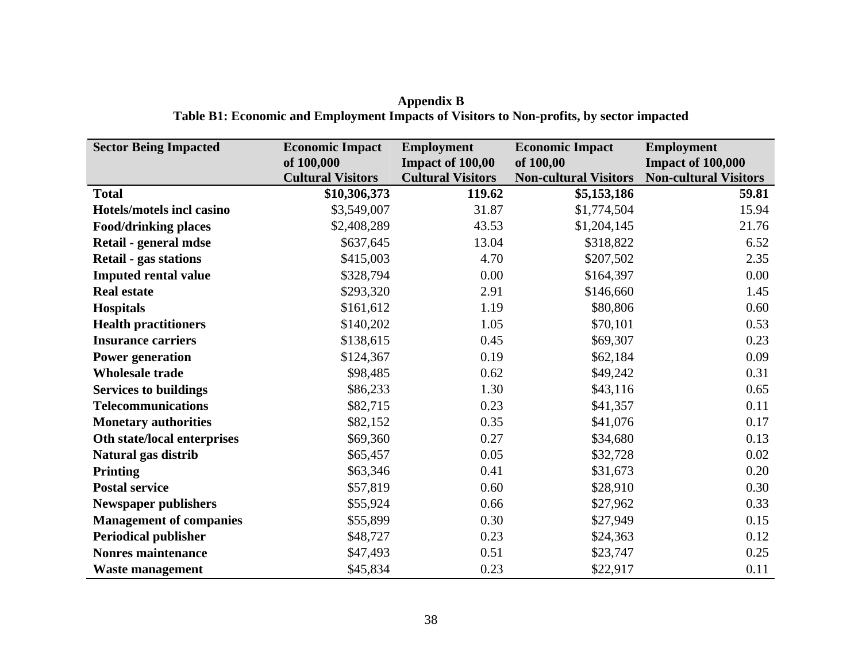| <b>Sector Being Impacted</b>   | <b>Economic Impact</b><br>of 100,000 | <b>Employment</b><br>Impact of 100,00 | <b>Economic Impact</b><br>of 100,00 | <b>Employment</b><br><b>Impact of 100,000</b> |
|--------------------------------|--------------------------------------|---------------------------------------|-------------------------------------|-----------------------------------------------|
|                                | <b>Cultural Visitors</b>             | <b>Cultural Visitors</b>              | <b>Non-cultural Visitors</b>        | <b>Non-cultural Visitors</b>                  |
| <b>Total</b>                   | \$10,306,373                         | 119.62                                | \$5,153,186                         | 59.81                                         |
| Hotels/motels incl casino      | \$3,549,007                          | 31.87                                 | \$1,774,504                         | 15.94                                         |
| <b>Food/drinking places</b>    | \$2,408,289                          | 43.53                                 | \$1,204,145                         | 21.76                                         |
| Retail - general mdse          | \$637,645                            | 13.04                                 | \$318,822                           | 6.52                                          |
| <b>Retail - gas stations</b>   | \$415,003                            | 4.70                                  | \$207,502                           | 2.35                                          |
| <b>Imputed rental value</b>    | \$328,794                            | 0.00                                  | \$164,397                           | 0.00                                          |
| <b>Real estate</b>             | \$293,320                            | 2.91                                  | \$146,660                           | 1.45                                          |
| <b>Hospitals</b>               | \$161,612                            | 1.19                                  | \$80,806                            | 0.60                                          |
| <b>Health practitioners</b>    | \$140,202                            | 1.05                                  | \$70,101                            | 0.53                                          |
| <b>Insurance carriers</b>      | \$138,615                            | 0.45                                  | \$69,307                            | 0.23                                          |
| <b>Power generation</b>        | \$124,367                            | 0.19                                  | \$62,184                            | 0.09                                          |
| <b>Wholesale trade</b>         | \$98,485                             | 0.62                                  | \$49,242                            | 0.31                                          |
| <b>Services to buildings</b>   | \$86,233                             | 1.30                                  | \$43,116                            | 0.65                                          |
| <b>Telecommunications</b>      | \$82,715                             | 0.23                                  | \$41,357                            | 0.11                                          |
| <b>Monetary authorities</b>    | \$82,152                             | 0.35                                  | \$41,076                            | 0.17                                          |
| Oth state/local enterprises    | \$69,360                             | 0.27                                  | \$34,680                            | 0.13                                          |
| Natural gas distrib            | \$65,457                             | 0.05                                  | \$32,728                            | 0.02                                          |
| <b>Printing</b>                | \$63,346                             | 0.41                                  | \$31,673                            | 0.20                                          |
| <b>Postal service</b>          | \$57,819                             | 0.60                                  | \$28,910                            | 0.30                                          |
| <b>Newspaper publishers</b>    | \$55,924                             | 0.66                                  | \$27,962                            | 0.33                                          |
| <b>Management of companies</b> | \$55,899                             | 0.30                                  | \$27,949                            | 0.15                                          |
| <b>Periodical publisher</b>    | \$48,727                             | 0.23                                  | \$24,363                            | 0.12                                          |
| <b>Nonres maintenance</b>      | \$47,493                             | 0.51                                  | \$23,747                            | 0.25                                          |
| <b>Waste management</b>        | \$45,834                             | 0.23                                  | \$22,917                            | 0.11                                          |

**Appendix B Table B1: Economic and Employment Impacts of Visitors to Non-profits, by sector impacted**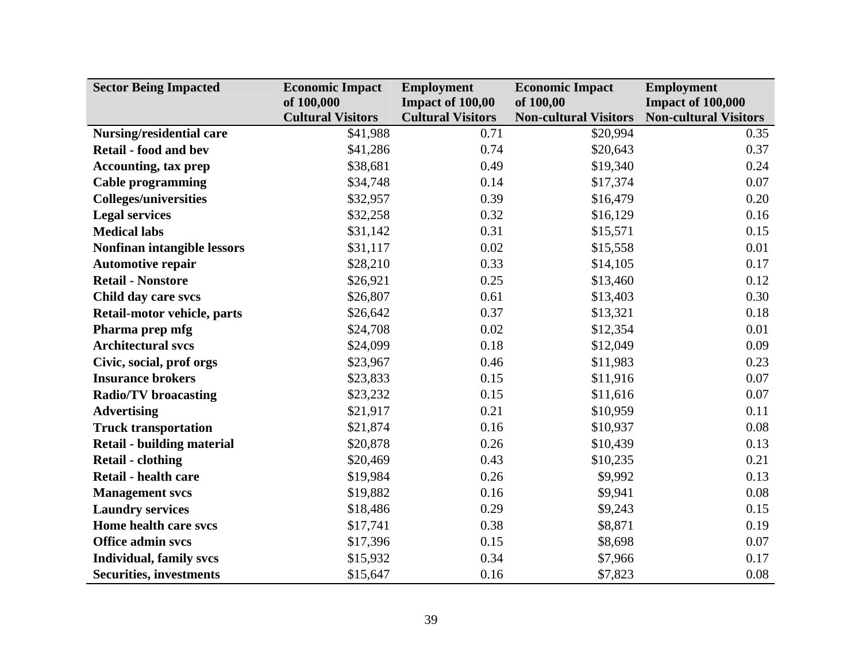| <b>Sector Being Impacted</b>      | <b>Economic Impact</b>   | <b>Employment</b>        | <b>Economic Impact</b>       | <b>Employment</b>            |
|-----------------------------------|--------------------------|--------------------------|------------------------------|------------------------------|
|                                   | of 100,000               | Impact of 100,00         | of 100,00                    | <b>Impact of 100,000</b>     |
|                                   | <b>Cultural Visitors</b> | <b>Cultural Visitors</b> | <b>Non-cultural Visitors</b> | <b>Non-cultural Visitors</b> |
| Nursing/residential care          | \$41,988                 | 0.71                     | \$20,994                     | 0.35                         |
| <b>Retail - food and bev</b>      | \$41,286                 | 0.74                     | \$20,643                     | 0.37                         |
| <b>Accounting, tax prep</b>       | \$38,681                 | 0.49                     | \$19,340                     | 0.24                         |
| <b>Cable programming</b>          | \$34,748                 | 0.14                     | \$17,374                     | 0.07                         |
| <b>Colleges/universities</b>      | \$32,957                 | 0.39                     | \$16,479                     | 0.20                         |
| <b>Legal services</b>             | \$32,258                 | 0.32                     | \$16,129                     | 0.16                         |
| <b>Medical labs</b>               | \$31,142                 | 0.31                     | \$15,571                     | 0.15                         |
| Nonfinan intangible lessors       | \$31,117                 | 0.02                     | \$15,558                     | 0.01                         |
| <b>Automotive repair</b>          | \$28,210                 | 0.33                     | \$14,105                     | 0.17                         |
| <b>Retail - Nonstore</b>          | \$26,921                 | 0.25                     | \$13,460                     | 0.12                         |
| Child day care svcs               | \$26,807                 | 0.61                     | \$13,403                     | 0.30                         |
| Retail-motor vehicle, parts       | \$26,642                 | 0.37                     | \$13,321                     | 0.18                         |
| Pharma prep mfg                   | \$24,708                 | 0.02                     | \$12,354                     | 0.01                         |
| <b>Architectural svcs</b>         | \$24,099                 | 0.18                     | \$12,049                     | 0.09                         |
| Civic, social, prof orgs          | \$23,967                 | 0.46                     | \$11,983                     | 0.23                         |
| <b>Insurance brokers</b>          | \$23,833                 | 0.15                     | \$11,916                     | 0.07                         |
| <b>Radio/TV</b> broacasting       | \$23,232                 | 0.15                     | \$11,616                     | 0.07                         |
| <b>Advertising</b>                | \$21,917                 | 0.21                     | \$10,959                     | 0.11                         |
| <b>Truck transportation</b>       | \$21,874                 | 0.16                     | \$10,937                     | 0.08                         |
| <b>Retail - building material</b> | \$20,878                 | 0.26                     | \$10,439                     | 0.13                         |
| <b>Retail - clothing</b>          | \$20,469                 | 0.43                     | \$10,235                     | 0.21                         |
| <b>Retail - health care</b>       | \$19,984                 | 0.26                     | \$9,992                      | 0.13                         |
| <b>Management</b> svcs            | \$19,882                 | 0.16                     | \$9,941                      | 0.08                         |
| <b>Laundry services</b>           | \$18,486                 | 0.29                     | \$9,243                      | 0.15                         |
| Home health care svcs             | \$17,741                 | 0.38                     | \$8,871                      | 0.19                         |
| <b>Office admin svcs</b>          | \$17,396                 | 0.15                     | \$8,698                      | 0.07                         |
| <b>Individual, family svcs</b>    | \$15,932                 | 0.34                     | \$7,966                      | 0.17                         |
| <b>Securities, investments</b>    | \$15,647                 | 0.16                     | \$7,823                      | 0.08                         |